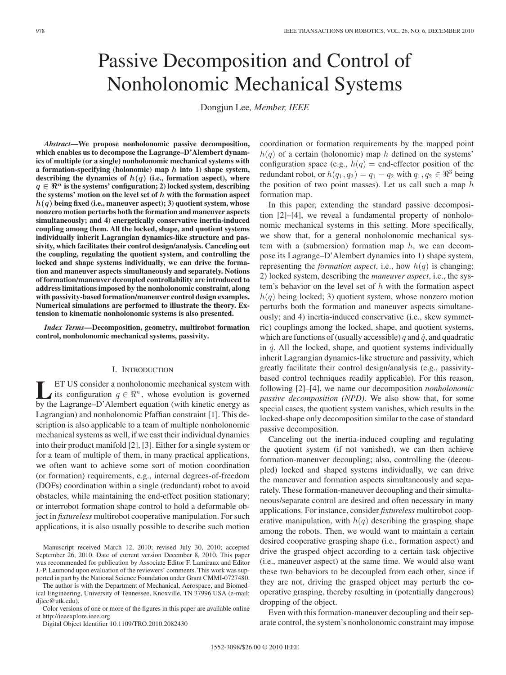# Passive Decomposition and Control of Nonholonomic Mechanical Systems

Dongjun Lee*, Member, IEEE*

*Abstract***—We propose nonholonomic passive decomposition, which enables us to decompose the Lagrange–D'Alembert dynamics of multiple (or a single) nonholonomic mechanical systems with a formation-specifying (holonomic) map** *h* **into 1) shape system, describing the dynamics of** *h***(***q***) (i.e., formation aspect), where** *q* ∈  $\mathbb{R}^n$  is the systems' configuration; 2) locked system, describing **the systems' motion on the level set of** *h* **with the formation aspect** *h***(***q***) being fixed (i.e., maneuver aspect); 3) quotient system, whose nonzero motion perturbs both the formation and maneuver aspects simultaneously; and 4) energetically conservative inertia-induced coupling among them. All the locked, shape, and quotient systems individually inherit Lagrangian dynamics-like structure and passivity, which facilitates their control design/analysis. Canceling out the coupling, regulating the quotient system, and controlling the locked and shape systems individually, we can drive the formation and maneuver aspects simultaneously and separately. Notions of formation/maneuver decoupled controllability are introduced to address limitations imposed by the nonholonomic constraint, along with passivity-based formation/maneuver control design examples. Numerical simulations are performed to illustrate the theory. Extension to kinematic nonholonomic systems is also presented.**

*Index Terms***—Decomposition, geometry, multirobot formation control, nonholonomic mechanical systems, passivity.**

## I. INTRODUCTION

**LET US** consider a nonholonomic mechanical system with its configuration  $q \in \mathbb{R}^n$ , whose evolution is governed by the Lagrange D'Alembert equation (with kinetic energy as by the Lagrange–D'Alembert equation (with kinetic energy as Lagrangian) and nonholonomic Pfaffian constraint [1]. This description is also applicable to a team of multiple nonholonomic mechanical systems as well, if we cast their individual dynamics into their product manifold [2], [3]. Either for a single system or for a team of multiple of them, in many practical applications, we often want to achieve some sort of motion coordination (or formation) requirements, e.g., internal degrees-of-freedom (DOFs) coordination within a single (redundant) robot to avoid obstacles, while maintaining the end-effect position stationary; or interrobot formation shape control to hold a deformable object in *fixtureless* multirobot cooperative manipulation. For such applications, it is also usually possible to describe such motion

Manuscript received March 12, 2010; revised July 30, 2010; accepted September 26, 2010. Date of current version December 8, 2010. This paper was recommended for publication by Associate Editor F. Lamiraux and Editor J.-P. Laumond upon evaluation of the reviewers' comments. This work was supported in part by the National Science Foundation under Grant CMMI-0727480.

The author is with the Department of Mechanical, Aerospace, and Biomedical Engineering, University of Tennessee, Knoxville, TN 37996 USA (e-mail: djlee@utk.edu).

Color versions of one or more of the figures in this paper are available online at http://ieeexplore.ieee.org.

Digital Object Identifier 10.1109/TRO.2010.2082430

coordination or formation requirements by the mapped point  $h(q)$  of a certain (holonomic) map h defined on the systems' configuration space (e.g.,  $h(q)$  = end-effector position of the redundant robot, or  $h(q_1, q_2) = q_1 - q_2$  with  $q_1, q_2 \in \mathbb{R}^3$  being the position of two point masses). Let us call such a map  $h$ formation map.

In this paper, extending the standard passive decomposition [2]–[4], we reveal a fundamental property of nonholonomic mechanical systems in this setting. More specifically, we show that, for a general nonholonomic mechanical system with a (submersion) formation map  $h$ , we can decompose its Lagrange–D'Alembert dynamics into 1) shape system, representing the *formation aspect*, i.e., how  $h(q)$  is changing; 2) locked system, describing the *maneuver aspect*, i.e., the system's behavior on the level set of  $h$  with the formation aspect  $h(q)$  being locked; 3) quotient system, whose nonzero motion perturbs both the formation and maneuver aspects simultaneously; and 4) inertia-induced conservative (i.e., skew symmetric) couplings among the locked, shape, and quotient systems, which are functions of (usually accessible) q and  $\dot{q}$ , and quadratic in  $\dot{q}$ . All the locked, shape, and quotient systems individually inherit Lagrangian dynamics-like structure and passivity, which greatly facilitate their control design/analysis (e.g., passivitybased control techniques readily applicable). For this reason, following [2]–[4], we name our decomposition *nonholonomic passive decomposition (NPD)*. We also show that, for some special cases, the quotient system vanishes, which results in the locked-shape only decomposition similar to the case of standard passive decomposition.

Canceling out the inertia-induced coupling and regulating the quotient system (if not vanished), we can then achieve formation-maneuver decoupling; also, controlling the (decoupled) locked and shaped systems individually, we can drive the maneuver and formation aspects simultaneously and separately. These formation-maneuver decoupling and their simultaneous/separate control are desired and often necessary in many applications. For instance, consider *fixtureless* multirobot cooperative manipulation, with  $h(q)$  describing the grasping shape among the robots. Then, we would want to maintain a certain desired cooperative grasping shape (i.e., formation aspect) and drive the grasped object according to a certain task objective (i.e., maneuver aspect) at the same time. We would also want these two behaviors to be decoupled from each other, since if they are not, driving the grasped object may perturb the cooperative grasping, thereby resulting in (potentially dangerous) dropping of the object.

Even with this formation-maneuver decoupling and their separate control, the system's nonholonomic constraint may impose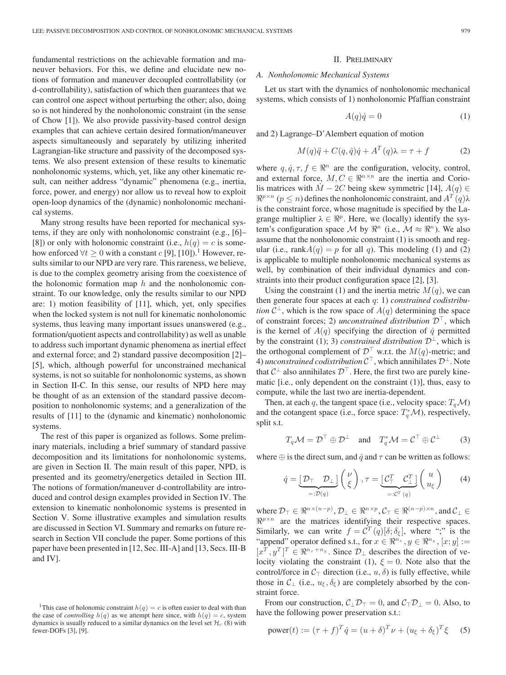fundamental restrictions on the achievable formation and maneuver behaviors. For this, we define and elucidate new notions of formation and maneuver decoupled controllability (or d-controllability), satisfaction of which then guarantees that we can control one aspect without perturbing the other; also, doing so is not hindered by the nonholonomic constraint (in the sense of Chow [1]). We also provide passivity-based control design examples that can achieve certain desired formation/maneuver aspects simultaneously and separately by utilizing inherited Lagrangian-like structure and passivity of the decomposed systems. We also present extension of these results to kinematic nonholonomic systems, which, yet, like any other kinematic result, can neither address "dynamic" phenomena (e.g., inertia, force, power, and energy) nor allow us to reveal how to exploit open-loop dynamics of the (dynamic) nonholonomic mechanical systems.

Many strong results have been reported for mechanical systems, if they are only with nonholonomic constraint (e.g., [6]– [8]) or only with holonomic constraint (i.e.,  $h(q) = c$  is somehow enforced  $\forall t \geq 0$  with a constant c [9], [10]).<sup>1</sup> However, results similar to our NPD are very rare. This rareness, we believe, is due to the complex geometry arising from the coexistence of the holonomic formation map  $h$  and the nonholonomic constraint. To our knowledge, only the results similar to our NPD are: 1) motion feasibility of [11], which, yet, only specifies when the locked system is not null for kinematic nonholonomic systems, thus leaving many important issues unanswered (e.g., formation/quotient aspects and controllability) as well as unable to address such important dynamic phenomena as inertial effect and external force; and 2) standard passive decomposition [2]– [5], which, although powerful for unconstrained mechanical systems, is not so suitable for nonholonomic systems, as shown in Section II-C. In this sense, our results of NPD here may be thought of as an extension of the standard passive decomposition to nonholonomic systems; and a generalization of the results of [11] to the (dynamic and kinematic) nonholonomic systems.

The rest of this paper is organized as follows. Some preliminary materials, including a brief summary of standard passive decomposition and its limitations for nonholonomic systems, are given in Section II. The main result of this paper, NPD, is presented and its geometry/energetics detailed in Section III. The notions of formation/maneuver d-controllability are introduced and control design examples provided in Section IV. The extension to kinematic nonholonomic systems is presented in Section V. Some illustrative examples and simulation results are discussed in Section VI. Summary and remarks on future research in Section VII conclude the paper. Some portions of this paper have been presented in [12, Sec. III-A] and [13, Secs. III-B and IV].

#### II. PRELIMINARY

## *A. Nonholonomic Mechanical Systems*

Let us start with the dynamics of nonholonomic mechanical systems, which consists of 1) nonholonomic Pfaffian constraint

$$
A(q)\dot{q} = 0\tag{1}
$$

and 2) Lagrange–D'Alembert equation of motion

$$
M(q)\ddot{q} + C(q,\dot{q})\dot{q} + A^T(q)\lambda = \tau + f \tag{2}
$$

where  $q, \dot{q}, \tau, f \in \mathbb{R}^n$  are the configuration, velocity, control, and external force,  $M, C \in \mathbb{R}^{n \times n}$  are the inertia and Coriolis matrices with  $\dot{M}$  – 2C being skew symmetric [14],  $A(q) \in$  $\mathbb{R}^{p \times n}$  ( $p \leq n$ ) defines the nonholonomic constraint, and  $A^T(q)\lambda$ is the constraint force, whose magnitude is specified by the Lagrange multiplier  $\lambda \in \mathbb{R}^p$ . Here, we (locally) identify the system's configuration space M by  $\mathbb{R}^n$  (i.e.,  $\mathcal{M} \approx \mathbb{R}^n$ ). We also assume that the nonholonomic constraint (1) is smooth and regular (i.e., rank $A(q) = p$  for all q). This modeling (1) and (2) is applicable to multiple nonholonomic mechanical systems as well, by combination of their individual dynamics and constraints into their product configuration space [2], [3].

Using the constraint (1) and the inertia metric  $M(q)$ , we can then generate four spaces at each q: 1) *constrained codistribution*  $C^{\perp}$ , which is the row space of  $A(q)$  determining the space of constraint forces; 2) *unconstrained distribution*  $\mathcal{D}^{\perp}$ , which is the kernel of  $A(q)$  specifying the direction of  $\dot{q}$  permitted by the constraint (1); 3) *constrained distribution*  $\mathcal{D}^{\perp}$ , which is the orthogonal complement of  $\mathcal{D}^{\top}$  w.r.t. the  $M(q)$ -metric; and 4) *unconstrained codistribution*  $C^{\top}$ , which annihilates  $D^{\perp}$ . Note that  $C^{\perp}$  also annihilates  $D^{\top}$ . Here, the first two are purely kinematic [i.e., only dependent on the constraint (1)], thus, easy to compute, while the last two are inertia-dependent.

Then, at each q, the tangent space (i.e., velocity space:  $T_q\mathcal{M}$ ) and the cotangent space (i.e., force space:  $T_q^*$  *M*), respectively, split s.t.

$$
T_q \mathcal{M} = \mathcal{D}^\top \oplus \mathcal{D}^\perp \quad \text{and} \quad T_q^* \mathcal{M} = \mathcal{C}^\top \oplus \mathcal{C}^\perp \tag{3}
$$

where  $\oplus$  is the direct sum, and  $\dot{q}$  and  $\tau$  can be written as follows:

$$
\dot{q} = \underbrace{\left[\mathcal{D}_{\top} \mathcal{D}_{\bot}\right]}_{=: \mathcal{D}(q)} \left(\begin{array}{c} \nu \\ \xi \end{array}\right), \tau = \underbrace{\left[\mathcal{C}_{\top}^T \mathcal{C}_{\bot}^T\right]}_{=: \mathcal{C}^T(q)} \left(\begin{array}{c} u \\ u_{\xi} \end{array}\right) \tag{4}
$$

where  $\mathcal{D}_{\top} \in \Re^{n \times (n-p)}, \mathcal{D}_{\bot} \in \Re^{n \times p}, \mathcal{C}_{\top} \in \Re^{(n-p) \times n}$ , and  $\mathcal{C}_{\bot} \in$  $\Re^{p \times n}$  are the matrices identifying their respective spaces. Similarly, we can write  $f = C^T(q)[\delta; \delta_{\xi}]$ , where ";" is the "append" operator defined s.t., for  $x \in \mathbb{R}^{n_x}$ ,  $y \in \mathbb{R}^{n_y}$ ,  $[x, y] :=$  $[x^T, y^T]^T \in \Re^{n_x + n_y}$ . Since  $\mathcal{D}_\perp$  describes the direction of velocity violating the constraint (1),  $\xi = 0$ . Note also that the control/force in  $C_\top$  direction (i.e.,  $u, \delta$ ) is fully effective, while those in  $\mathcal{C}_\perp$  (i.e.,  $u_\xi, \delta_\xi$ ) are completely absorbed by the constraint force.

From our construction,  $C_{\perp}D_{\perp} = 0$ , and  $C_{\perp}D_{\perp} = 0$ . Also, to have the following power preservation s.t.:

power(t) := 
$$
(\tau + f)^T \dot{q} = (u + \delta)^T \nu + (u_{\xi} + \delta_{\xi})^T \xi
$$
 (5)

<sup>&</sup>lt;sup>1</sup>This case of holonomic constraint  $h(q) = c$  is often easier to deal with than the case of *controlling*  $h(q)$  as we attempt here since, with  $h(q) = c$ , system dynamics is usually reduced to a similar dynamics on the level set  $\mathcal{H}_c$  (8) with fewer-DOFs [3], [9].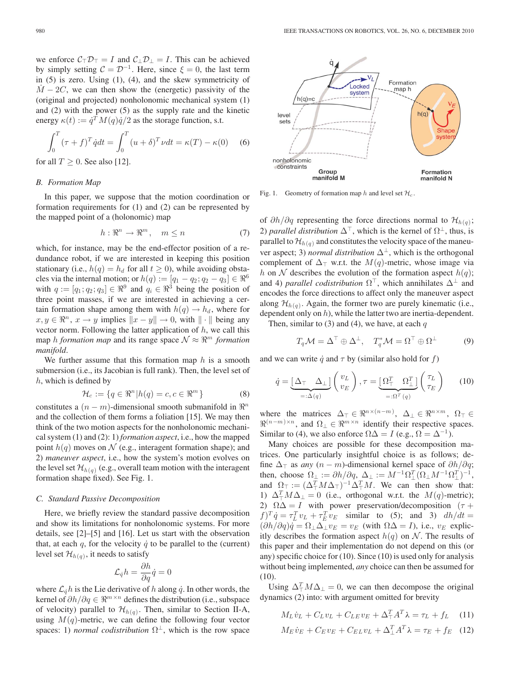we enforce  $C_{\top}D_{\top} = I$  and  $C_{\perp}D_{\perp} = I$ . This can be achieved by simply setting  $C = \mathcal{D}^{-1}$ . Here, since  $\xi = 0$ , the last term in (5) is zero. Using (1), (4), and the skew symmetricity of  $M - 2C$ , we can then show the (energetic) passivity of the (original and projected) nonholonomic mechanical system (1) and (2) with the power (5) as the supply rate and the kinetic energy  $\kappa(t) := \dot{q}^T M(q) \dot{q}/2$  as the storage function, s.t.

$$
\int_0^T (\tau + f)^T \dot{q} dt = \int_0^T (u + \delta)^T \nu dt = \kappa(T) - \kappa(0) \quad (6)
$$

for all 
$$
T \geq 0
$$
. See also [12].

## *B. Formation Map*

In this paper, we suppose that the motion coordination or formation requirements for (1) and (2) can be represented by the mapped point of a (holonomic) map

$$
h: \mathbb{R}^n \to \mathbb{R}^m, \quad m \le n \tag{7}
$$

which, for instance, may be the end-effector position of a redundance robot, if we are interested in keeping this position stationary (i.e.,  $h(q) = h_d$  for all  $t \ge 0$ ), while avoiding obstacles via the internal motion; or  $h(q) := [q_1 - q_2; q_2 - q_3] \in \mathbb{R}^6$ with  $q := [q_1; q_2; q_3] \in \mathbb{R}^9$  and  $q_i \in \mathbb{R}^3$  being the position of three point masses, if we are interested in achieving a certain formation shape among them with  $h(q) \rightarrow h_d$ , where for  $x, y \in \mathbb{R}^n$ ,  $x \to y$  implies  $||x - y|| \to 0$ , with  $|| \cdot ||$  being any vector norm. Following the latter application of  $h$ , we call this map *h formation map* and its range space  $\mathcal{N} \approx \mathbb{R}^m$  *formation manifold*.

We further assume that this formation map  $h$  is a smooth submersion (i.e., its Jacobian is full rank). Then, the level set of h, which is defined by

$$
\mathcal{H}_c := \{ q \in \mathbb{R}^n \middle| h(q) = c, c \in \mathbb{R}^m \}
$$
\n
$$
(8)
$$

constitutes a  $(n - m)$ -dimensional smooth submanifold in  $\mathbb{R}^n$ and the collection of them forms a foliation [15]. We may then think of the two motion aspects for the nonholonomic mechanical system (1) and (2): 1) *formation aspect*, i.e., how the mapped point  $h(q)$  moves on N (e.g., interagent formation shape); and 2) *maneuver aspect*, i.e., how the system's motion evolves on the level set  $\mathcal{H}_{h(q)}$  (e.g., overall team motion with the interagent formation shape fixed). See Fig. 1.

#### *C. Standard Passive Decomposition*

Here, we briefly review the standard passive decomposition and show its limitations for nonholonomic systems. For more details, see [2]–[5] and [16]. Let us start with the observation that, at each q, for the velocity  $\dot{q}$  to be parallel to the (current) level set  $\mathcal{H}_{h(q)}$ , it needs to satisfy

$$
\mathcal{L}_{\dot{q}}h = \frac{\partial h}{\partial q}\dot{q} = 0
$$

where  $\mathcal{L}_{\dot{q}} h$  is the Lie derivative of h along  $\dot{q}$ . In other words, the kernel of  $\partial h/\partial q \in \mathbb{R}^{m \times n}$  defines the distribution (i.e., subspace of velocity) parallel to  $\mathcal{H}_{h(q)}$ . Then, similar to Section II-A, using  $M(q)$ -metric, we can define the following four vector spaces: 1) *normal codistribution*  $\Omega^{\perp}$ , which is the row space



Fig. 1. Geometry of formation map h and level set  $\mathcal{H}_c$ .

of  $\partial h/\partial q$  representing the force directions normal to  $\mathcal{H}_{h(q)}$ ; 2) *parallel distribution*  $\Delta^{\top}$ , which is the kernel of  $\Omega^{\perp}$ , thus, is parallel to  $\mathcal{H}_{h(q)}$  and constitutes the velocity space of the maneuver aspect; 3) *normal distribution*  $\Delta^{\perp}$ , which is the orthogonal complement of  $\Delta_{\top}$  w.r.t. the  $M(q)$ -metric, whose image via h on N describes the evolution of the formation aspect  $h(q)$ ; and 4) *parallel codistribution*  $\Omega^{\top}$ , which annihilates  $\Delta^{\perp}$  and encodes the force directions to affect only the maneuver aspect along  $\mathcal{H}_{h(q)}$ . Again, the former two are purely kinematic (i.e., dependent only on h), while the latter two are inertia-dependent.

Then, similar to (3) and (4), we have, at each  $q$ 

$$
T_q \mathcal{M} = \Delta^{\top} \oplus \Delta^{\perp}, \quad T_q^* \mathcal{M} = \Omega^{\top} \oplus \Omega^{\perp}
$$
 (9)

and we can write  $\dot{q}$  and  $\tau$  by (similar also hold for f)

$$
\dot{q} = \underbrace{\left[\Delta_{\top} \Delta_{\bot}\right]}_{=: \Delta(q)} \begin{pmatrix} v_L \\ v_E \end{pmatrix}, \tau = \underbrace{\left[\Omega_{\top}^T \Omega_{\bot}^T\right]}_{=: \Omega^T(q)} \begin{pmatrix} \tau_L \\ \tau_E \end{pmatrix} \tag{10}
$$

where the matrices  $\Delta_{\top} \in \Re^{n \times (n-m)}$ ,  $\Delta_{\bot} \in \Re^{n \times m}$ ,  $\Omega_{\top} \in$  $\Re^{(n-m)\times n}$ , and  $\Omega_{\perp} \in \Re^{m \times n}$  identify their respective spaces. Similar to (4), we also enforce  $\Omega \Delta = I$  (e.g.,  $\Omega = \Delta^{-1}$ ).

Many choices are possible for these decomposition matrices. One particularly insightful choice is as follows; define  $\Delta_{\top}$  as *any*  $(n - m)$ -dimensional kernel space of  $\partial h / \partial q$ ; then, choose  $\Omega_{\perp} := \partial h / \partial q$ ,  $\Delta_{\perp} := M^{-1} \Omega_{\perp}^T (\Omega_{\perp} M^{-1} \Omega_{\perp}^T)^{-1}$ , and  $\Omega_{\top} := (\Delta_{\top}^T M \Delta_{\top})^{-1} \Delta_{\top}^T M$ . We can then show that: 1)  $\Delta_{\top}^{T} M \Delta_{\perp} = 0$  (i.e., orthogonal w.r.t. the  $M(q)$ -metric); 2)  $\Omega \Delta = I$  with power preservation/decomposition ( $\tau$  +  $f)^T \dot{q} = \tau_L^T v_L + \tau_E^T v_E$  similar to (5); and 3)  $dh/dt =$  $(\partial h/\partial q)\dot{q} = \Omega_{\perp}\Delta_{\perp}v_E = v_E$  (with  $\Omega\Delta = I$ ), i.e.,  $v_E$  explicitly describes the formation aspect  $h(q)$  on N. The results of this paper and their implementation do not depend on this (or any) specific choice for (10). Since (10) is used only for analysis without being implemented, *any* choice can then be assumed for (10).

Using  $\Delta_{\perp}^T M \Delta_{\perp} = 0$ , we can then decompose the original dynamics (2) into: with argument omitted for brevity

$$
M_L \dot{v}_L + C_L v_L + C_{LE} v_E + \Delta_\top^T A^T \lambda = \tau_L + f_L \quad (11)
$$
  

$$
M_E \dot{v}_E + C_E v_E + C_{EL} v_L + \Delta_\bot^T A^T \lambda = \tau_E + f_E \quad (12)
$$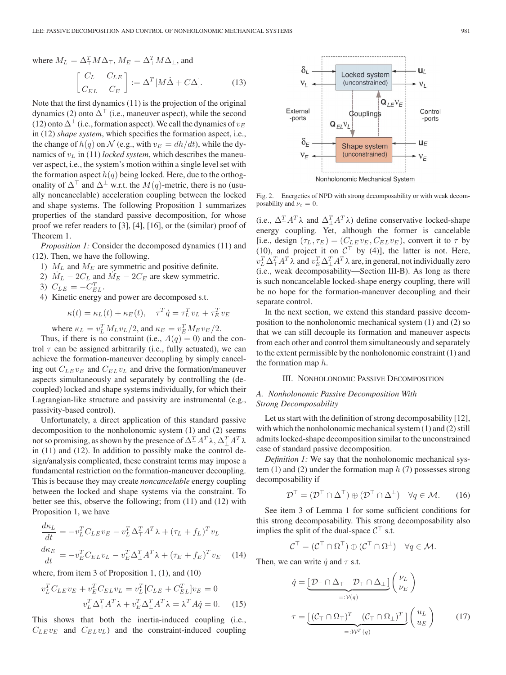where  $M_L = \Delta_{\top}^T M \Delta_{\top}$ ,  $M_E = \Delta_{\bot}^T M \Delta_{\bot}$ , and

$$
\begin{bmatrix} C_L & C_{LE} \\ C_{EL} & C_E \end{bmatrix} := \Delta^T \left[ M\dot{\Delta} + C\Delta \right].\tag{13}
$$

Note that the first dynamics (11) is the projection of the original dynamics (2) onto  $\Delta^{\dagger}$  (i.e., maneuver aspect), while the second (12) onto  $\Delta^{\perp}$  (i.e., formation aspect). We call the dynamics of  $v_E$ in (12) *shape system*, which specifies the formation aspect, i.e., the change of  $h(q)$  on  $\mathcal N$  (e.g., with  $v_E = dh/dt$ ), while the dynamics of  $v<sub>L</sub>$  in (11) *locked system*, which describes the maneuver aspect, i.e., the system's motion within a single level set with the formation aspect  $h(q)$  being locked. Here, due to the orthogonality of  $\Delta^{\top}$  and  $\Delta^{\perp}$  w.r.t. the  $M(q)$ -metric, there is no (usually noncancelable) acceleration coupling between the locked and shape systems. The following Proposition 1 summarizes properties of the standard passive decomposition, for whose proof we refer readers to [3], [4], [16], or the (similar) proof of Theorem 1.

*Proposition 1:* Consider the decomposed dynamics (11) and (12). Then, we have the following.

- 1)  $M_L$  and  $M_E$  are symmetric and positive definite.
- 2)  $M_L 2C_L$  and  $M_E 2C_E$  are skew symmetric.
- 3)  $C_{LE} = -C_{EL}^{T}$ .
- 4) Kinetic energy and power are decomposed s.t.

$$
\kappa(t) = \kappa_L(t) + \kappa_E(t), \quad \tau^T \dot{q} = \tau_L^T v_L + \tau_E^T v_E
$$

where  $\kappa_L = v_L^T M_L v_L / 2$ , and  $\kappa_E = v_E^T M_E v_E / 2$ .

Thus, if there is no constraint (i.e.,  $A(q)=0$ ) and the control  $\tau$  can be assigned arbitrarily (i.e., fully actuated), we can achieve the formation-maneuver decoupling by simply canceling out  $C_{LE} v_E$  and  $C_{EL} v_L$  and drive the formation/maneuver aspects simultaneously and separately by controlling the (decoupled) locked and shape systems individually, for which their Lagrangian-like structure and passivity are instrumental (e.g., passivity-based control).

Unfortunately, a direct application of this standard passive decomposition to the nonholonomic system (1) and (2) seems not so promising, as shown by the presence of  $\Delta_\top^T A^T\lambda$ ,  $\Delta_\bot^T A^T\lambda$ in (11) and (12). In addition to possibly make the control design/analysis complicated, these constraint terms may impose a fundamental restriction on the formation-maneuver decoupling. This is because they may create *noncancelable* energy coupling between the locked and shape systems via the constraint. To better see this, observe the following; from (11) and (12) with Proposition 1, we have

$$
\frac{d\kappa_L}{dt} = -v_L^T C_{LE} v_E - v_L^T \Delta_\top^T A^T \lambda + (\tau_L + f_L)^T v_L
$$
\n
$$
\frac{d\kappa_E}{dt} = -v_E^T C_{EL} v_L - v_E^T \Delta_\bot^T A^T \lambda + (\tau_E + f_E)^T v_E \tag{14}
$$

where, from item 3 of Proposition 1, (1), and (10)

$$
v_L^T C_{LE} v_E + v_E^T C_{EL} v_L = v_L^T [C_{LE} + C_{EL}^T] v_E = 0
$$
  

$$
v_L^T \Delta_\top^T A^T \lambda + v_E^T \Delta_\perp^T A^T \lambda = \lambda^T A \dot{q} = 0.
$$
 (15)

This shows that both the inertia-induced coupling (i.e.,  $C_{LE} v_E$  and  $C_{EL} v_L$ ) and the constraint-induced coupling



Fig. 2. Energetics of NPD with strong decomposability or with weak decomposability and  $\nu_c = 0$ .

(i.e.,  $\Delta_{\top}^T A^T \lambda$  and  $\Delta_{\bot}^T A^T \lambda$ ) define conservative locked-shape energy coupling. Yet, although the former is cancelable [i.e., design  $(\tau_L, \tau_E) = (C_{LE} v_E, C_{EL} v_E)$ , convert it to  $\tau$  by (10), and project it on  $C^{\top}$  by (4)], the latter is not. Here,  $v_L^T \Delta_\top^T A^T \lambda$  and  $v_E^T \Delta_\bot^T A^T \lambda$  are, in general, not individually zero (i.e., weak decomposability—Section III-B). As long as there is such noncancelable locked-shape energy coupling, there will be no hope for the formation-maneuver decoupling and their separate control.

In the next section, we extend this standard passive decomposition to the nonholonomic mechanical system (1) and (2) so that we can still decouple its formation and maneuver aspects from each other and control them simultaneously and separately to the extent permissible by the nonholonomic constraint (1) and the formation map  $h$ .

## III. NONHOLONOMIC PASSIVE DECOMPOSITION

# *A. Nonholonomic Passive Decomposition With Strong Decomposability*

Let us start with the definition of strong decomposability [12], with which the nonholonomic mechanical system (1) and (2) still admits locked-shape decomposition similar to the unconstrained case of standard passive decomposition.

*Definition 1:* We say that the nonholonomic mechanical system  $(1)$  and  $(2)$  under the formation map  $h(7)$  possesses strong decomposability if

$$
\mathcal{D}^{\top} = (\mathcal{D}^{\top} \cap \Delta^{\top}) \oplus (\mathcal{D}^{\top} \cap \Delta^{\perp}) \quad \forall q \in \mathcal{M}.
$$
 (16)

See item 3 of Lemma 1 for some sufficient conditions for this strong decomposability. This strong decomposability also implies the split of the dual-space  $C^{\top}$  s.t.

$$
\mathcal{C}^{\top} = (\mathcal{C}^{\top} \cap \Omega^{\top}) \oplus (\mathcal{C}^{\top} \cap \Omega^{\perp}) \quad \forall q \in \mathcal{M}.
$$

Then, we can write  $\dot{q}$  and  $\tau$  s.t.

$$
\dot{q} = \underbrace{\left[\mathcal{D}_{\top} \cap \Delta_{\top} \mathcal{D}_{\top} \cap \Delta_{\bot}\right]}_{=: \mathcal{V}(q)} \begin{pmatrix} \nu_L \\ \nu_E \end{pmatrix}
$$
\n
$$
\tau = \underbrace{\left[\left(\mathcal{C}_{\top} \cap \Omega_{\top}\right)^T \left(\mathcal{C}_{\top} \cap \Omega_{\bot}\right)^T\right]}_{=: \mathcal{W}^T(q)} \begin{pmatrix} u_L \\ u_E \end{pmatrix} \tag{17}
$$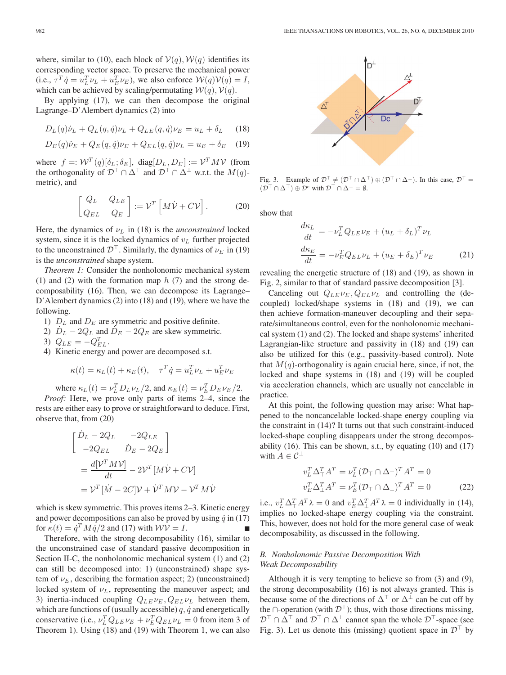where, similar to (10), each block of  $V(q)$ ,  $W(q)$  identifies its corresponding vector space. To preserve the mechanical power (i.e.,  $\tau^T \dot{q} = u_L^T \nu_L + u_E^T \nu_E$ ), we also enforce  $\mathcal{W}(q) \mathcal{V}(q) = I$ , which can be achieved by scaling/permutating  $W(q)$ ,  $V(q)$ .

By applying (17), we can then decompose the original Lagrange–D'Alembert dynamics (2) into

$$
D_L(q)\dot{\nu}_L + Q_L(q,\dot{q})\nu_L + Q_{LE}(q,\dot{q})\nu_E = u_L + \delta_L \qquad (18)
$$

$$
D_E(q)\dot{\nu}_E + Q_E(q, \dot{q})\nu_E + Q_{EL}(q, \dot{q})\nu_L = u_E + \delta_E \quad (19)
$$

where  $f =: \mathcal{W}^T(q)[\delta_L; \delta_E]$ , diag $[D_L, D_E] := \mathcal{V}^T M \mathcal{V}$  (from the orthogonality of  $\mathcal{D}^{\top} \cap \Delta^{\top}$  and  $\mathcal{D}^{\top} \cap \Delta^{\perp}$  w.r.t. the  $M(q)$ metric), and

$$
\begin{bmatrix} Q_L & Q_{LE} \\ Q_{EL} & Q_E \end{bmatrix} := \mathcal{V}^T \left[ M \dot{\mathcal{V}} + C \mathcal{V} \right].
$$
 (20)

Here, the dynamics of  $\nu_L$  in (18) is the *unconstrained* locked system, since it is the locked dynamics of  $v_L$  further projected to the unconstrained  $\mathcal{D}^{\top}$ . Similarly, the dynamics of  $\nu_E$  in (19) is the *unconstrained* shape system.

*Theorem 1:* Consider the nonholonomic mechanical system (1) and (2) with the formation map  $h(7)$  and the strong decomposability (16). Then, we can decompose its Lagrange– D'Alembert dynamics (2) into (18) and (19), where we have the following.

- 1)  $D<sub>L</sub>$  and  $D<sub>E</sub>$  are symmetric and positive definite.
- 2)  $D_L 2Q_L$  and  $D_E 2Q_E$  are skew symmetric.
- 3)  $Q_{LE} = -Q_{EL}^T$ .
- 4) Kinetic energy and power are decomposed s.t.

$$
\kappa(t) = \kappa_L(t) + \kappa_E(t), \quad \tau^T \dot{q} = u_L^T \nu_L + u_E^T \nu_E
$$

where  $\kappa_L(t) = \nu_L^T D_L \nu_L/2$ , and  $\kappa_E(t) = \nu_E^T D_E \nu_E/2$ .

*Proof:* Here, we prove only parts of items 2–4, since the rests are either easy to prove or straightforward to deduce. First, observe that, from (20)

$$
\begin{aligned}\n\begin{bmatrix}\n\dot{D}_L - 2Q_L & -2Q_{LE} \\
-2Q_{EL} & \dot{D}_E - 2Q_E\n\end{bmatrix} \\
= \frac{d[\mathcal{V}^T M \mathcal{V}]}{dt} - 2\mathcal{V}^T [M \dot{\mathcal{V}} + C \mathcal{V}] \\
= \mathcal{V}^T [\dot{M} - 2C] \mathcal{V} + \dot{\mathcal{V}}^T M \mathcal{V} - \mathcal{V}^T M \dot{\mathcal{V}}\n\end{bmatrix}\n\end{aligned}
$$

which is skew symmetric. This proves items 2–3. Kinetic energy and power decompositions can also be proved by using  $\dot{q}$  in (17) for  $\kappa(t) = \dot{q}^T M \dot{q}/2$  and (17) with  $WV = I$ .

Therefore, with the strong decomposability (16), similar to the unconstrained case of standard passive decomposition in Section II-C, the nonholonomic mechanical system  $(1)$  and  $(2)$ can still be decomposed into: 1) (unconstrained) shape system of  $\nu_E$ , describing the formation aspect; 2) (unconstrained) locked system of  $\nu_L$ , representing the maneuver aspect; and 3) inertia-induced coupling  $Q_{LE} \nu_E$ ,  $Q_{EL} \nu_L$  between them, which are functions of (usually accessible)  $q$ ,  $\dot{q}$  and energetically conservative (i.e.,  $\nu_L^T Q_{LE} \nu_E + \nu_E^T Q_{EL} \nu_L = 0$  from item 3 of Theorem 1). Using (18) and (19) with Theorem 1, we can also



Fig. 3. Example of  $\mathcal{D}^{\top} \neq (\mathcal{D}^{\top} \cap \Delta^{\top}) \oplus (\mathcal{D}^{\top} \cap \Delta^{\perp})$ . In this case,  $\mathcal{D}^{\top} =$  $(\overline{\mathcal{D}}^{\top} \cap \Delta^{\top}) \oplus \overline{\mathcal{D}}^c$  with  $\overline{\mathcal{D}}^{\top} \cap \Delta^{\perp} = \emptyset$ .

show that

$$
\frac{d\kappa_L}{dt} = -\nu_L^T Q_{LE}\nu_E + (u_L + \delta_L)^T \nu_L
$$
\n
$$
\frac{d\kappa_E}{dt} = -\nu_E^T Q_{EL}\nu_L + (u_E + \delta_E)^T \nu_E
$$
\n(21)

revealing the energetic structure of (18) and (19), as shown in Fig. 2, similar to that of standard passive decomposition [3].

Canceling out  $Q_{LE} \nu_E, Q_{EL} \nu_L$  and controlling the (decoupled) locked/shape systems in (18) and (19), we can then achieve formation-maneuver decoupling and their separate/simultaneous control, even for the nonholonomic mechanical system (1) and (2). The locked and shape systems' inherited Lagrangian-like structure and passivity in (18) and (19) can also be utilized for this (e.g., passivity-based control). Note that  $M(q)$ -orthogonality is again crucial here, since, if not, the locked and shape systems in (18) and (19) will be coupled via acceleration channels, which are usually not cancelable in practice.

At this point, the following question may arise: What happened to the noncancelable locked-shape energy coupling via the constraint in (14)? It turns out that such constraint-induced locked-shape coupling disappears under the strong decomposability (16). This can be shown, s.t., by equating (10) and (17) with  $A \in \mathcal{C}^{\perp}$ 

$$
v_L^T \Delta_\top^T A^T = \nu_L^T (\mathcal{D}_\top \cap \Delta_\top)^T A^T = 0
$$
  

$$
v_E^T \Delta_\perp^T A^T = \nu_E^T (\mathcal{D}_\top \cap \Delta_\perp)^T A^T = 0
$$
 (22)

i.e.,  $v_L^T \Delta_\top^T A^T \lambda = 0$  and  $v_E^T \Delta_\perp^T A^T \lambda = 0$  individually in (14), implies no locked-shape energy coupling via the constraint. This, however, does not hold for the more general case of weak decomposability, as discussed in the following.

## *B. Nonholonomic Passive Decomposition With Weak Decomposability*

Although it is very tempting to believe so from (3) and (9), the strong decomposability (16) is not always granted. This is because some of the directions of  $\Delta^{\top}$  or  $\Delta^{\perp}$  can be cut off by the ∩-operation (with  $\mathcal{D}^{\top}$ ); thus, with those directions missing,  $\mathcal{D}^{\top} \cap \Delta^{\top}$  and  $\mathcal{D}^{\top} \cap \Delta^{\perp}$  cannot span the whole  $\mathcal{D}^{\top}$ -space (see Fig. 3). Let us denote this (missing) quotient space in  $\mathcal{D}^{\top}$  by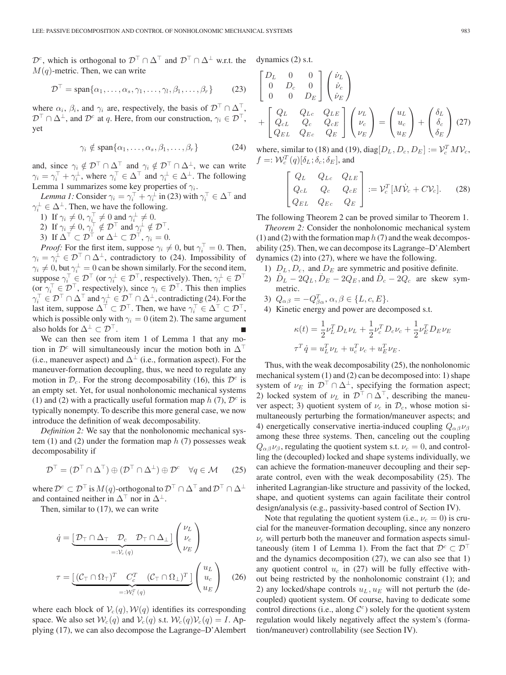$\mathcal{D}^c$ , which is orthogonal to  $\mathcal{D}^\top \cap \Delta^\top$  and  $\mathcal{D}^\top \cap \Delta^\perp$  w.r.t. the  $M(q)$ -metric. Then, we can write

$$
\mathcal{D}^{\top} = \text{span}\{\alpha_1, \dots, \alpha_s, \gamma_1, \dots, \gamma_l, \beta_1, \dots, \beta_r\} \tag{23}
$$

where  $\alpha_i$ ,  $\beta_i$ , and  $\gamma_i$  are, respectively, the basis of  $\mathcal{D}^\top \cap \Delta^\top$ ,  $\mathcal{D}^{\top} \cap \Delta^{\perp}$ , and  $\mathcal{D}^{c}$  at q. Here, from our construction,  $\gamma_i \in \mathcal{D}^{\top}$ , yet

$$
\gamma_i \notin \text{span}\{\alpha_1, \dots, \alpha_s, \beta_1, \dots, \beta_r\} \tag{24}
$$

and, since  $\gamma_i \notin \mathcal{D}^\top \cap \Delta^\top$  and  $\gamma_i \notin \mathcal{D}^\top \cap \Delta^\perp$ , we can write  $\gamma_i = \gamma_i^\top + \gamma_i^\perp$ , where  $\gamma_i^\top \in \Delta^\top$  and  $\gamma_i^\perp \in \Delta^\perp$ . The following Lemma 1 summarizes some key properties of  $\gamma_i$ .

*Lemma 1:* Consider  $\gamma_i = \gamma_i^\top + \gamma_i^\perp$  in (23) with  $\gamma_i^\top \in \Delta^\top$  and  $\gamma_i^{\perp} \in \Delta^{\perp}$ . Then, we have the following.

- 1) If  $\gamma_i \neq 0$ ,  $\gamma_i^{\top} \neq 0$  and  $\gamma_i^{\perp} \neq 0$ .
- 2) If  $\gamma_i \neq 0$ ,  $\gamma_i^{\top} \notin \mathcal{D}^{\top}$  and  $\gamma_i^{\bot} \notin \mathcal{D}^{\top}$ .
- 3) If  $\Delta^{\top} \subset \mathcal{D}^{\top}$  or  $\Delta^{\perp} \subset \mathcal{D}^{\top}$ ,  $\gamma_i = 0$ .

*Proof:* For the first item, suppose  $\gamma_i \neq 0$ , but  $\gamma_i^{\top} = 0$ . Then,  $\gamma_i = \gamma_i^{\perp} \in \mathcal{D}^\top \cap \Delta^{\perp}$ , contradictory to (24). Impossibility of  $\gamma_i \neq 0$ , but  $\gamma_i^{\perp} = 0$  can be shown similarly. For the second item, suppose  $\gamma_i^\top \in \mathcal{D}^\top$  (or  $\gamma_i^\perp \in \mathcal{D}^\top$ , respectively). Then,  $\gamma_i^\perp \in \mathcal{D}^\top$ (or  $\gamma_i^{\top} \in \mathcal{D}^{\top}$ , respectively), since  $\gamma_i \in \mathcal{D}^{\top}$ . This then implies  $\gamma_i^\top\in \mathcal{D}^\top\cap\Delta^\top$  and  $\gamma_i^\bot\in \mathcal{D}^\top\cap\Delta^\bot,$  contradicting (24). For the last item, suppose  $\Delta^{\top} \subset \mathcal{D}^{\top}$ . Then, we have  $\gamma_i^{\top} \in \Delta^{\top} \subset \mathcal{D}^{\top}$ , which is possible only with  $\gamma_i = 0$  (item 2). The same argument also holds for  $\Delta^{\perp} \subset \mathcal{D}^{\top}$ .

We can then see from item 1 of Lemma 1 that any motion in  $\mathcal{D}^c$  will simultaneously incur the motion both in  $\Delta^{\top}$ (i.e., maneuver aspect) and  $\Delta^{\perp}$  (i.e., formation aspect). For the maneuver-formation decoupling, thus, we need to regulate any motion in  $\mathcal{D}_c$ . For the strong decomposability (16), this  $\mathcal{D}^c$  is an empty set. Yet, for usual nonholonomic mechanical systems (1) and (2) with a practically useful formation map  $h(7)$ ,  $\mathcal{D}^c$  is typically nonempty. To describe this more general case, we now introduce the definition of weak decomposability.

*Definition 2:* We say that the nonholonomic mechanical system  $(1)$  and  $(2)$  under the formation map  $h(7)$  possesses weak decomposability if

$$
\mathcal{D}^{\top} = (\mathcal{D}^{\top} \cap \Delta^{\top}) \oplus (\mathcal{D}^{\top} \cap \Delta^{\perp}) \oplus \mathcal{D}^{c} \quad \forall q \in \mathcal{M} \qquad (25)
$$

where  $\mathcal{D}^c \subset \mathcal{D}^{\top}$  is  $M(q)$ -orthogonal to  $\mathcal{D}^{\top} \cap \Delta^{\top}$  and  $\mathcal{D}^{\top} \cap \Delta^{\perp}$ and contained neither in  $\Delta^{\top}$  nor in  $\Delta^{\perp}$ .

Then, similar to (17), we can write

$$
\dot{q} = \underbrace{\begin{bmatrix} \mathcal{D}_{\top} \cap \Delta_{\top} & \mathcal{D}_{c} & \mathcal{D}_{\top} \cap \Delta_{\perp} \end{bmatrix}}_{=: \mathcal{V}_c(q)} \begin{pmatrix} \nu_L \\ \nu_c \\ \nu_E \end{pmatrix}
$$
\n
$$
\tau = \underbrace{\begin{bmatrix} (\mathcal{C}_{\top} \cap \Omega_{\top})^T & C_c^T & (\mathcal{C}_{\top} \cap \Omega_{\perp})^T \end{bmatrix}}_{=: \mathcal{W}_c^T(q)} \begin{pmatrix} u_L \\ u_c \\ u_E \end{pmatrix} \quad (26)
$$

where each block of  $V_c(q)$ ,  $W(q)$  identifies its corresponding space. We also set  $W_c(q)$  and  $V_c(q)$  s.t.  $W_c(q)V_c(q) = I$ . Applying (17), we can also decompose the Lagrange–D'Alembert dynamics (2) s.t.

$$
\begin{bmatrix}\nD_L & 0 & 0 \\
0 & D_c & 0 \\
0 & 0 & D_E\n\end{bmatrix}\n\begin{pmatrix}\n\dot{\nu}_L \\
\dot{\nu}_c \\
\dot{\nu}_E\n\end{pmatrix}\n+\n\begin{bmatrix}\nQ_L & Q_{Lc} & Q_{LE} \\
Q_{cL} & Q_c & Q_{cE} \\
Q_{EL} & Q_{Ec} & Q_E\n\end{bmatrix}\n\begin{pmatrix}\n\nu_L \\
\nu_c \\
\nu_E\n\end{pmatrix}\n=\n\begin{pmatrix}\nu_L \\
u_c \\
u_E\n\end{pmatrix}\n+\n\begin{pmatrix}\n\delta_L \\
\delta_c \\
\delta_E\n\end{pmatrix}
$$
(27)

where, similar to (18) and (19), diag $[D_L, D_c, D_E] := \mathcal{V}_c^T M \mathcal{V}_c$ ,  $f =: \mathcal{W}_c^T(q)[\delta_L; \delta_c; \delta_E]$ , and

$$
\begin{bmatrix} Q_L & Q_{Lc} & Q_{LE} \\ Q_{cL} & Q_c & Q_{cE} \\ Q_{EL} & Q_{Ec} & Q_E \end{bmatrix} := \mathcal{V}_c^T [M\dot{\mathcal{V}}_c + C\mathcal{V}_c].
$$
 (28)

The following Theorem 2 can be proved similar to Theorem 1.

*Theorem 2:* Consider the nonholonomic mechanical system (1) and (2) with the formation map  $h(7)$  and the weak decomposability (25). Then, we can decompose its Lagrange–D'Alembert dynamics (2) into (27), where we have the following.

- 1)  $D_L$ ,  $D_c$ , and  $D_E$  are symmetric and positive definite.
- 2)  $\dot{D}_L 2Q_L$ ,  $\dot{D}_E 2Q_E$ , and  $\dot{D}_c 2Q_c$  are skew symmetric.
- 3)  $Q_{\alpha\beta} = -Q_{\beta\alpha}^T, \alpha, \beta \in \{L, c, E\}.$
- 4) Kinetic energy and power are decomposed s.t.

$$
\kappa(t) = \frac{1}{2} \nu_L^T D_L \nu_L + \frac{1}{2} \nu_c^T D_c \nu_c + \frac{1}{2} \nu_E^T D_E \nu_E
$$
  

$$
\tau^T \dot{q} = u_L^T \nu_L + u_c^T \nu_c + u_E^T \nu_E.
$$

Thus, with the weak decomposability (25), the nonholonomic mechanical system (1) and (2) can be decomposed into: 1) shape system of  $\nu_E$  in  $\mathcal{D}^\top \cap \Delta^{\perp}$ , specifying the formation aspect; 2) locked system of  $\nu_L$  in  $\mathcal{D}^\top \cap \Delta^\top$ , describing the maneuver aspect; 3) quotient system of  $\nu_c$  in  $\mathcal{D}_c$ , whose motion simultaneously perturbing the formation/maneuver aspects; and 4) energetically conservative inertia-induced coupling  $Q_{\alpha\beta}\nu_{\beta}$ among these three systems. Then, canceling out the coupling  $Q_{\alpha\beta}\nu_{\beta}$ , regulating the quotient system s.t.  $\nu_c = 0$ , and controlling the (decoupled) locked and shape systems individually, we can achieve the formation-maneuver decoupling and their separate control, even with the weak decomposability (25). The inherited Lagrangian-like structure and passivity of the locked, shape, and quotient systems can again facilitate their control design/analysis (e.g., passivity-based control of Section IV).

Note that regulating the quotient system (i.e.,  $\nu_c = 0$ ) is crucial for the maneuver-formation decoupling, since any nonzero  $\nu_c$  will perturb both the maneuver and formation aspects simultaneously (item 1 of Lemma 1). From the fact that  $\mathcal{D}^c \subset \mathcal{D}^{\perp}$ and the dynamics decomposition (27), we can also see that 1) any quotient control  $u_c$  in (27) will be fully effective without being restricted by the nonholonomic constraint (1); and 2) any locked/shape controls  $u_L, u_F$  will not perturb the (decoupled) quotient system. Of course, having to dedicate some control directions (i.e., along  $\mathcal{C}^c$ ) solely for the quotient system regulation would likely negatively affect the system's (formation/maneuver) controllability (see Section IV).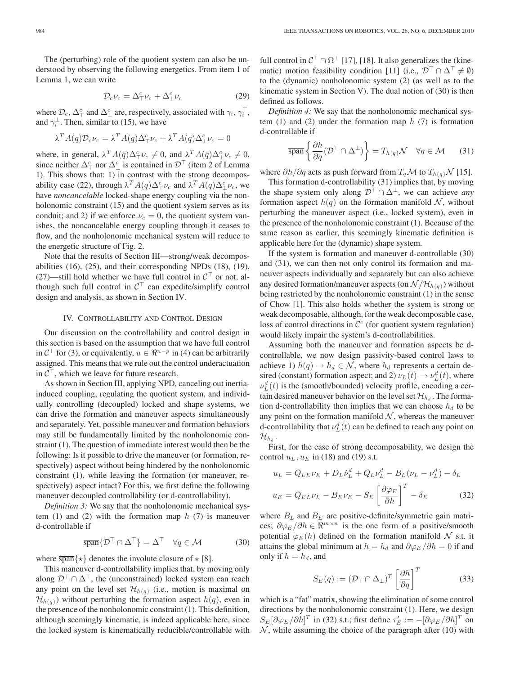The (perturbing) role of the quotient system can also be understood by observing the following energetics. From item 1 of Lemma 1, we can write

$$
\mathcal{D}_c \nu_c = \Delta^c_\top \nu_c + \Delta^c_\bot \nu_c \tag{29}
$$

where  $\mathcal{D}_c$ ,  $\Delta_{\top}^c$  and  $\Delta_{\perp}^c$  are, respectively, associated with  $\gamma_i$ ,  $\gamma_i^{\top}$ , and  $\gamma_i^{\perp}$ . Then, similar to (15), we have

$$
\lambda^T A(q) \mathcal{D}_c \nu_c = \lambda^T A(q) \Delta_\top^c \nu_c + \lambda^T A(q) \Delta_\perp^c \nu_c = 0
$$

where, in general,  $\lambda^T A(q) \Delta^c_{\top} \nu_c \neq 0$ , and  $\lambda^T A(q) \Delta^c_{\perp} \nu_c \neq 0$ , since neither  $\Delta_{\perp}^c$  nor  $\Delta_{\perp}^c$  is contained in  $\mathcal{D}^{\top}$  (item 2 of Lemma 1). This shows that: 1) in contrast with the strong decomposability case (22), through  $\lambda^T A(q) \Delta^c_\tau \nu_c$  and  $\lambda^T A(q) \Delta^c_\perp \nu_c$ , we have *noncancelable* locked-shape energy coupling via the nonholonomic constraint (15) and the quotient system serves as its conduit; and 2) if we enforce  $\nu_c = 0$ , the quotient system vanishes, the noncancelable energy coupling through it ceases to flow, and the nonholonomic mechanical system will reduce to the energetic structure of Fig. 2.

Note that the results of Section III—strong/weak decomposabilities (16), (25), and their corresponding NPDs (18), (19), (27)—still hold whether we have full control in  $C<sup>T</sup>$  or not, although such full control in  $C^{\top}$  can expedite/simplify control design and analysis, as shown in Section IV.

## IV. CONTROLLABILITY AND CONTROL DESIGN

Our discussion on the controllability and control design in this section is based on the assumption that we have full control in  $\mathcal{C}^\top$  for (3), or equivalently,  $u \in \mathbb{R}^{n-p}$  in (4) can be arbitrarily assigned. This means that we rule out the control underactuation in  $C^{\top}$ , which we leave for future research.

As shown in Section III, applying NPD, canceling out inertiainduced coupling, regulating the quotient system, and individually controlling (decoupled) locked and shape systems, we can drive the formation and maneuver aspects simultaneously and separately. Yet, possible maneuver and formation behaviors may still be fundamentally limited by the nonholonomic constraint (1). The question of immediate interest would then be the following: Is it possible to drive the maneuver (or formation, respectively) aspect without being hindered by the nonholonomic constraint (1), while leaving the formation (or maneuver, respectively) aspect intact? For this, we first define the following maneuver decoupled controllability (or d-controllability).

*Definition 3:* We say that the nonholonomic mechanical system (1) and (2) with the formation map  $h(7)$  is maneuver d-controllable if

$$
\overline{\text{span}}\{\mathcal{D}^{\top} \cap \Delta^{\top}\} = \Delta^{\top} \quad \forall q \in \mathcal{M} \tag{30}
$$

where  $\overline{span}\{\star\}$  denotes the involute closure of  $\star$  [8].

This maneuver d-controllability implies that, by moving only along  $\mathcal{D}^{\top} \cap \Delta^{\top}$ , the (unconstrained) locked system can reach any point on the level set  $\mathcal{H}_{h(q)}$  (i.e., motion is maximal on  $\mathcal{H}_{h(q)}$ ) without perturbing the formation aspect  $h(q)$ , even in the presence of the nonholonomic constraint (1). This definition, although seemingly kinematic, is indeed applicable here, since the locked system is kinematically reducible/controllable with

full control in  $C^{\top} \cap \Omega^{\top}$  [17], [18]. It also generalizes the (kinematic) motion feasibility condition [11] (i.e.,  $\mathcal{D}^{\top} \cap \Delta^{\top} \neq \emptyset$ ) to the (dynamic) nonholonomic system (2) (as well as to the kinematic system in Section V). The dual notion of (30) is then defined as follows.

*Definition 4:* We say that the nonholonomic mechanical system (1) and (2) under the formation map  $h(7)$  is formation d-controllable if

$$
\overline{\text{span}}\left\{\frac{\partial h}{\partial q}(\mathcal{D}^{\top} \cap \Delta^{\perp})\right\} = T_{h(q)}\mathcal{N} \quad \forall q \in \mathcal{M} \quad (31)
$$

where  $\partial h/\partial q$  acts as push forward from  $T_q\mathcal{M}$  to  $T_{h(q)}\mathcal{N}$  [15].

This formation d-controllability (31) implies that, by moving the shape system only along  $\mathcal{D}^{\top} \cap \Delta^{\perp}$ , we can achieve *any* formation aspect  $h(q)$  on the formation manifold N, without perturbing the maneuver aspect (i.e., locked system), even in the presence of the nonholonomic constraint (1). Because of the same reason as earlier, this seemingly kinematic definition is applicable here for the (dynamic) shape system.

If the system is formation and maneuver d-controllable (30) and (31), we can then not only control its formation and maneuver aspects individually and separately but can also achieve any desired formation/maneuver aspects (on  $\mathcal{N}/\mathcal{H}_{h(q)}$ ) without being restricted by the nonholonomic constraint (1) in the sense of Chow [1]. This also holds whether the system is strong or weak decomposable, although, for the weak decomposable case, loss of control directions in  $\mathcal{C}^c$  (for quotient system regulation) would likely impair the system's d-controllabilities.

Assuming both the maneuver and formation aspects be dcontrollable, we now design passivity-based control laws to achieve 1)  $h(q) \rightarrow h_d \in \mathcal{N}$ , where  $h_d$  represents a certain desired (constant) formation aspect; and 2)  $\nu_L(t) \rightarrow \nu_L^d(t)$ , where  $\nu_L^d(t)$  is the (smooth/bounded) velocity profile, encoding a certain desired maneuver behavior on the level set  $\mathcal{H}_{h_d}$ . The formation d-controllability then implies that we can choose  $h_d$  to be any point on the formation manifold  $N$ , whereas the maneuver d-controllability that  $\nu_L^d(t)$  can be defined to reach any point on  $\mathcal{H}_{h_d}$  .

First, for the case of strong decomposability, we design the control  $u_L$ ,  $u_E$  in (18) and (19) s.t.

$$
u_L = Q_{LE}\nu_E + D_L\dot{\nu}_L^d + Q_L\nu_L^d - B_L(\nu_L - \nu_L^d) - \delta_L
$$
  

$$
u_E = Q_{EL}\nu_L - B_E\nu_E - S_E \left[\frac{\partial \varphi_E}{\partial h}\right]^T - \delta_E
$$
 (32)

where  $B_L$  and  $B_E$  are positive-definite/symmetric gain matrices;  $\partial \varphi_E / \partial h \in \mathbb{R}^{m \times n}$  is the one form of a positive/smooth potential  $\varphi_E(h)$  defined on the formation manifold N s.t. it attains the global minimum at  $h = h_d$  and  $\partial \varphi_E / \partial h = 0$  if and only if  $h = h_d$ , and

$$
S_E(q) := (\mathcal{D}_T \cap \Delta_\perp)^T \left[ \frac{\partial h}{\partial q} \right]^T \tag{33}
$$

which is a "fat" matrix, showing the elimination of some control directions by the nonholonomic constraint (1). Here, we design  $S_E[\partial \varphi_E / \partial h]^T$  in (32) s.t.; first define  $\tau_E' := -[\partial \varphi_E / \partial h]^T$  on  $N$ , while assuming the choice of the paragraph after (10) with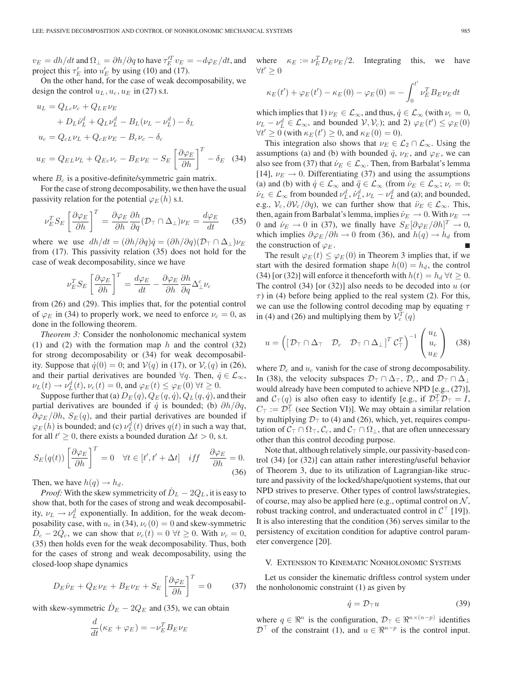$v_E = dh/dt$  and  $\Omega_\perp = \partial h/\partial q$  to have  $\tau_E^{\prime T} v_E = -d\varphi_E/dt$ , and project this  $\tau_E'$  into  $u_E'$  by using (10) and (17).

On the other hand, for the case of weak decomposability, we design the control  $u_L, u_c, u_E$  in (27) s.t.

$$
u_L = Q_{Lc}\nu_c + Q_{LE}\nu_E
$$
  
+  $D_L\dot{\nu}_L^d + Q_L\nu_L^d - B_L(\nu_L - \nu_L^d) - \delta_L$   

$$
u_c = Q_{cL}\nu_L + Q_{cE}\nu_E - B_c\nu_c - \delta_c
$$
  

$$
u_E = Q_{EL}\nu_L + Q_{Ec}\nu_c - B_E\nu_E - S_E \left[\frac{\partial \varphi_E}{\partial h}\right]^T - \delta_E
$$
 (34)

where  $B_c$  is a positive-definite/symmetric gain matrix.

For the case of strong decomposability, we then have the usual passivity relation for the potential  $\varphi_E(h)$  s.t.

$$
\nu_E^T S_E \left[ \frac{\partial \varphi_E}{\partial h} \right]^T = \frac{\partial \varphi_E}{\partial h} \frac{\partial h}{\partial q} (\mathcal{D}_T \cap \Delta_\perp) \nu_E = \frac{d \varphi_E}{dt} \quad (35)
$$

where we use  $dh/dt = (\partial h/\partial q)\dot{q} = (\partial h/\partial q)(\mathcal{D}_{\top} \cap \Delta_{\bot})\nu_{E}$ from (17). This passivity relation (35) does not hold for the case of weak decomposability, since we have

$$
\nu_E^T S_E \left[ \frac{\partial \varphi_E}{\partial h} \right]^T = \frac{d \varphi_E}{dt} - \frac{\partial \varphi_E}{\partial h} \frac{\partial h}{\partial q} \Delta_\perp^c \nu_c
$$

from (26) and (29). This implies that, for the potential control of  $\varphi_E$  in (34) to properly work, we need to enforce  $\nu_c = 0$ , as done in the following theorem.

*Theorem 3:* Consider the nonholonomic mechanical system (1) and (2) with the formation map  $h$  and the control (32) for strong decomposability or (34) for weak decomposability. Suppose that  $\dot{q}(0) = 0$ ; and  $V(q)$  in (17), or  $V_c(q)$  in (26), and their partial derivatives are bounded  $\forall q$ . Then,  $\dot{q} \in \mathcal{L}_{\infty}$ ,  $\nu_L(t) \to \nu_L^d(t), \nu_c(t) = 0$ , and  $\varphi_E(t) \leq \varphi_E(0) \ \forall t \geq 0$ .

Suppose further that (a)  $D_E(q)$ ,  $Q_E(q, \dot{q})$ ,  $Q_L(q, \dot{q})$ , and their partial derivatives are bounded if  $\dot{q}$  is bounded; (b)  $\partial h / \partial q$ ,  $\partial \varphi_E / \partial h$ ,  $S_E(q)$ , and their partial derivatives are bounded if  $\varphi_E(h)$  is bounded; and (c)  $\nu_L^d(t)$  drives  $q(t)$  in such a way that, for all  $t' \geq 0$ , there exists a bounded duration  $\Delta t > 0$ , s.t.

$$
S_E(q(t)) \left[ \frac{\partial \varphi_E}{\partial h} \right]^T = 0 \quad \forall t \in [t', t' + \Delta t] \quad iff \quad \frac{\partial \varphi_E}{\partial h} = 0. \tag{36}
$$

Then, we have  $h(q) \rightarrow h_d$ .

*Proof:* With the skew symmetricity of  $D_L - 2Q_L$ , it is easy to show that, both for the cases of strong and weak decomposability,  $\nu_L \rightarrow \nu_L^d$  exponentially. In addition, for the weak decomposability case, with  $u_c$  in (34),  $v_c(0) = 0$  and skew-symmetric  $D_c - 2Q_c$ , we can show that  $\nu_c(t) = 0 \ \forall t \geq 0$ . With  $\nu_c = 0$ , (35) then holds even for the weak decomposability. Thus, both for the cases of strong and weak decomposability, using the closed-loop shape dynamics

$$
D_E \dot{\nu}_E + Q_E \nu_E + B_E \nu_E + S_E \left[ \frac{\partial \varphi_E}{\partial h} \right]^T = 0 \tag{37}
$$

with skew-symmetric  $\dot{D}_E - 2Q_E$  and (35), we can obtain

$$
\frac{d}{dt}(\kappa_E + \varphi_E) = -\nu_E^T B_E \nu_E
$$

where  $\kappa_E := \nu_E^T D_E \nu_E / 2$ . Integrating this, we have  $\forall t' \geq 0$ 

$$
\kappa_E(t') + \varphi_E(t') - \kappa_E(0) - \varphi_E(0) = -\int_0^{t'} \nu_E^T B_E \nu_E dt
$$

which implies that 1)  $\nu_E \in \mathcal{L}_{\infty}$ , and thus,  $\dot{q} \in \mathcal{L}_{\infty}$  (with  $\nu_c = 0$ ,  $\nu_L - \nu_L^d \in \mathcal{L}_{\infty}$ , and bounded  $\mathcal{V}, \mathcal{V}_c$ ; and 2)  $\varphi_E(t') \leq \varphi_E(0)$  $\forall t' \geq 0$  (with  $\kappa_E(t') \geq 0$ , and  $\kappa_E(0) = 0$ ).

This integration also shows that  $\nu_E \in \mathcal{L}_2 \cap \mathcal{L}_{\infty}$ . Using the assumptions (a) and (b) with bounded  $\dot{q}$ ,  $\nu_E$ , and  $\varphi_E$ , we can also see from (37) that  $\dot{\nu}_E \in \mathcal{L}_{\infty}$ . Then, from Barbalat's lemma [14],  $\nu_E \rightarrow 0$ . Differentiating (37) and using the assumptions (a) and (b) with  $\dot{q} \in \mathcal{L}_{\infty}$  and  $\ddot{q} \in \mathcal{L}_{\infty}$  (from  $\dot{\nu}_E \in \mathcal{L}_{\infty}$ ;  $\nu_c = 0$ ;  $\dot{\nu}_L \in \mathcal{L}_{\infty}$  from bounded  $\nu_L^d$ ,  $\dot{\nu}_L^d$ ,  $\nu_L - \nu_L^d$  and (a); and bounded, e.g.,  $V_c$ ,  $\partial V_c/\partial q$ ), we can further show that  $\ddot{\nu}_E \in \mathcal{L}_{\infty}$ . This, then, again from Barbalat's lemma, implies  $\dot{\nu}_E \rightarrow 0$ . With  $\nu_E \rightarrow$ 0 and  $\dot{\nu}_E \to 0$  in (37), we finally have  $S_E[\partial \varphi_E/\partial h]^T \to 0$ , which implies  $\partial \varphi_E / \partial h \to 0$  from (36), and  $h(q) \to h_d$  from the construction of  $\varphi_E$ .

The result  $\varphi_E(t) \leq \varphi_E(0)$  in Theorem 3 implies that, if we start with the desired formation shape  $h(0) = h_d$ , the control (34) [or (32)] will enforce it thenceforth with  $h(t) = h_d \,\forall t \geq 0$ . The control  $(34)$  [or  $(32)$ ] also needs to be decoded into u (or  $\tau$ ) in (4) before being applied to the real system (2). For this, we can use the following control decoding map by equating  $\tau$ in (4) and (26) and multiplying them by  $V_c^T(q)$ 

$$
u = \left( \begin{bmatrix} \mathcal{D}_{\top} \cap \Delta_{\top} & \mathcal{D}_{c} & \mathcal{D}_{\top} \cap \Delta_{\perp} \end{bmatrix}^{T} \mathcal{C}_{\top}^{T} \right)^{-1} \begin{pmatrix} u_{L} \\ u_{c} \\ u_{E} \end{pmatrix}
$$
 (38)

where  $\mathcal{D}_c$  and  $u_c$  vanish for the case of strong decomposability. In (38), the velocity subspaces  $\mathcal{D}_{\top} \cap \Delta_{\top}$ ,  $\mathcal{D}_{c}$ , and  $\mathcal{D}_{\top} \cap \Delta_{\perp}$ would already have been computed to achieve NPD [e.g., (27)], and  $C_{\perp}(q)$  is also often easy to identify [e.g., if  $\mathcal{D}_{\perp}^T \mathcal{D}_{\perp} = I$ ,  $C_{\top} := \mathcal{D}_{\top}^T$  (see Section VI)]. We may obtain a similar relation by multiplying  $\mathcal{D}_T$  to (4) and (26), which, yet, requires computation of  $C_\top \cap \Omega_\top$ ,  $C_c$ , and  $C_\top \cap \Omega_\perp$ , that are often unnecessary other than this control decoding purpose.

Note that, although relatively simple, our passivity-based control (34) [or (32)] can attain rather interesting/useful behavior of Theorem 3, due to its utilization of Lagrangian-like structure and passivity of the locked/shape/quotient systems, that our NPD strives to preserve. Other types of control laws/strategies, of course, may also be applied here (e.g., optimal control on  $N$ , robust tracking control, and underactuated control in  $\mathcal{C}^{\top}$  [19]). It is also interesting that the condition (36) serves similar to the persistency of excitation condition for adaptive control parameter convergence [20].

## V. EXTENSION TO KINEMATIC NONHOLONOMIC SYSTEMS

Let us consider the kinematic driftless control system under the nonholonomic constraint (1) as given by

$$
\dot{q} = \mathcal{D}_{\top} u \tag{39}
$$

where  $q \in \mathbb{R}^n$  is the configuration,  $\mathcal{D}_{\top} \in \mathbb{R}^{n \times (n-p)}$  identifies  $\mathcal{D}^{\top}$  of the constraint (1), and  $u \in \mathbb{R}^{n-p}$  is the control input.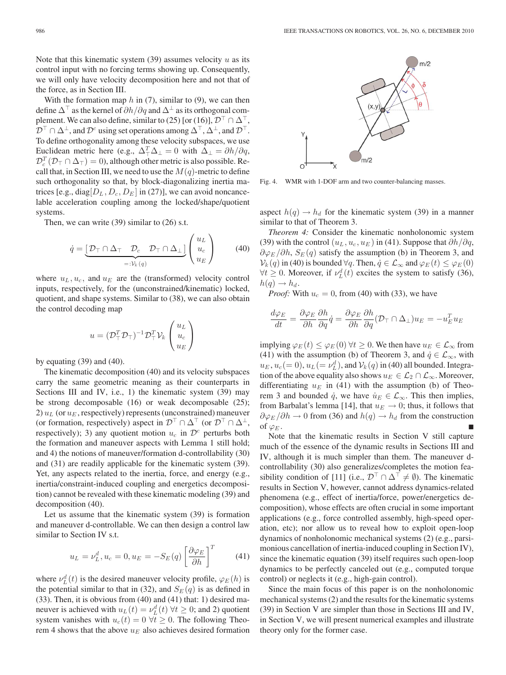Note that this kinematic system  $(39)$  assumes velocity u as its control input with no forcing terms showing up. Consequently, we will only have velocity decomposition here and not that of the force, as in Section III.

With the formation map  $h$  in (7), similar to (9), we can then define  $\Delta^{\top}$  as the kernel of  $\partial h/\partial q$  and  $\Delta^{\perp}$  as its orthogonal complement. We can also define, similar to (25) [or (16)],  $\mathcal{D}^{\top} \cap \Delta^{\top}$ ,  $\mathcal{D}^{\top} \cap \Delta^{\perp}$ , and  $\mathcal{D}^{c}$  using set operations among  $\Delta^{\top}$ ,  $\Delta^{\perp}$ , and  $\mathcal{D}^{\top}$ . To define orthogonality among these velocity subspaces, we use Euclidean metric here (e.g.,  $\Delta_{\perp}^T \Delta_{\perp} = 0$  with  $\Delta_{\perp} = \partial h / \partial q$ ,  $\mathcal{D}_{c}^{T}(\mathcal{D}_{\top}\cap\Delta_{\top})=0$ ), although other metric is also possible. Recall that, in Section III, we need to use the  $M(q)$ -metric to define such orthogonality so that, by block-diagonalizing inertia matrices [e.g., diag $[D_L, D_c, D_E]$  in (27)], we can avoid noncancelable acceleration coupling among the locked/shape/quotient systems.

Then, we can write (39) similar to (26) s.t.

$$
\dot{q} = \underbrace{\left[\mathcal{D}_{\top} \cap \Delta_{\top} \quad \mathcal{D}_{c} \quad \mathcal{D}_{\top} \cap \Delta_{\bot}\right]}_{=: \mathcal{V}_k(q)} \begin{pmatrix} u_L \\ u_c \\ u_E \end{pmatrix} \tag{40}
$$

where  $u_L, u_c$ , and  $u_E$  are the (transformed) velocity control inputs, respectively, for the (unconstrained/kinematic) locked, quotient, and shape systems. Similar to (38), we can also obtain the control decoding map

$$
u=(\mathcal{D}_{\top}^T\mathcal{D}_{\top})^{-1}\mathcal{D}_{\top}^T\mathcal{V}_k\left(\begin{matrix} u_L \\ u_c \\ u_E \end{matrix}\right)
$$

by equating  $(39)$  and  $(40)$ .

The kinematic decomposition (40) and its velocity subspaces carry the same geometric meaning as their counterparts in Sections III and IV, i.e., 1) the kinematic system (39) may be strong decomposable (16) or weak decomposable (25); 2)  $u_L$  (or  $u_F$ , respectively) represents (unconstrained) maneuver (or formation, respectively) aspect in  $\mathcal{D}^{\top} \cap \Delta^{\top}$  (or  $\mathcal{D}^{\top} \cap \Delta^{\perp}$ , respectively); 3) any quotient motion  $u_c$  in  $\mathcal{D}^c$  perturbs both the formation and maneuver aspects with Lemma 1 still hold; and 4) the notions of maneuver/formation d-controllability (30) and (31) are readily applicable for the kinematic system (39). Yet, any aspects related to the inertia, force, and energy (e.g., inertia/constraint-induced coupling and energetics decomposition) cannot be revealed with these kinematic modeling (39) and decomposition (40).

Let us assume that the kinematic system (39) is formation and maneuver d-controllable. We can then design a control law similar to Section IV s.t.

$$
u_L = \nu_L^d, u_c = 0, u_E = -S_E(q) \left[ \frac{\partial \varphi_E}{\partial h} \right]^T \tag{41}
$$

where  $\nu_L^d(t)$  is the desired maneuver velocity profile,  $\varphi_E(h)$  is the potential similar to that in (32), and  $S_E(q)$  is as defined in (33). Then, it is obvious from (40) and (41) that: 1) desired maneuver is achieved with  $u_L(t) = \nu_L^d(t)$   $\forall t \geq 0$ ; and 2) quotient system vanishes with  $u_c(t)=0 \ \forall t \geq 0$ . The following Theorem 4 shows that the above  $u_E$  also achieves desired formation



Fig. 4. WMR with 1-DOF arm and two counter-balancing masses.

aspect  $h(q) \rightarrow h_d$  for the kinematic system (39) in a manner similar to that of Theorem 3.

*Theorem 4:* Consider the kinematic nonholonomic system (39) with the control  $(u_L, u_c, u_E)$  in (41). Suppose that  $\partial h/\partial q$ ,  $\partial \varphi_E / \partial h$ ,  $S_E(q)$  satisfy the assumption (b) in Theorem 3, and  $\mathcal{V}_k(q)$  in (40) is bounded  $\forall q$ . Then,  $\dot{q} \in \mathcal{L}_{\infty}$  and  $\varphi_E(t) \leq \varphi_E(0)$  $\forall t \geq 0$ . Moreover, if  $\nu_L^d(t)$  excites the system to satisfy (36),  $h(q) \rightarrow h_d$ .

*Proof:* With  $u_c = 0$ , from (40) with (33), we have

$$
\frac{d\varphi_E}{dt} = \frac{\partial \varphi_E}{\partial h} \frac{\partial h}{\partial q} \dot{q} = \frac{\partial \varphi_E}{\partial h} \frac{\partial h}{\partial q} (\mathcal{D}_{\top} \cap \Delta_{\bot}) u_E = -u_E^T u_E
$$

implying  $\varphi_E(t) \leq \varphi_E(0) \,\forall t \geq 0$ . We then have  $u_E \in \mathcal{L}_{\infty}$  from (41) with the assumption (b) of Theorem 3, and  $\dot{q} \in \mathcal{L}_{\infty}$ , with  $u_E, u_c (= 0), u_L (= \nu_L^d)$ , and  $\mathcal{V}_k(q)$  in (40) all bounded. Integration of the above equality also shows  $u_E \in \mathcal{L}_2 \cap \mathcal{L}_{\infty}$ . Moreover, differentiating  $u_E$  in (41) with the assumption (b) of Theorem 3 and bounded  $\dot{q}$ , we have  $\dot{u}_E \in \mathcal{L}_{\infty}$ . This then implies, from Barbalat's lemma [14], that  $u_E \to 0$ ; thus, it follows that  $\partial \varphi_E / \partial h \to 0$  from (36) and  $h(q) \to h_d$  from the construction of  $\varphi_E$ .

Note that the kinematic results in Section V still capture much of the essence of the dynamic results in Sections III and IV, although it is much simpler than them. The maneuver dcontrollability (30) also generalizes/completes the motion feasibility condition of [11] (i.e.,  $\mathcal{D}^{\top} \cap \Delta^{\top} \neq \emptyset$ ). The kinematic results in Section V, however, cannot address dynamics-related phenomena (e.g., effect of inertia/force, power/energetics decomposition), whose effects are often crucial in some important applications (e.g., force controlled assembly, high-speed operation, etc); nor allow us to reveal how to exploit open-loop dynamics of nonholonomic mechanical systems (2) (e.g., parsimonious cancellation of inertia-induced coupling in Section IV), since the kinematic equation (39) itself requires such open-loop dynamics to be perfectly canceled out (e.g., computed torque control) or neglects it (e.g., high-gain control).

Since the main focus of this paper is on the nonholonomic mechanical systems (2) and the results for the kinematic systems (39) in Section V are simpler than those in Sections III and IV, in Section V, we will present numerical examples and illustrate theory only for the former case.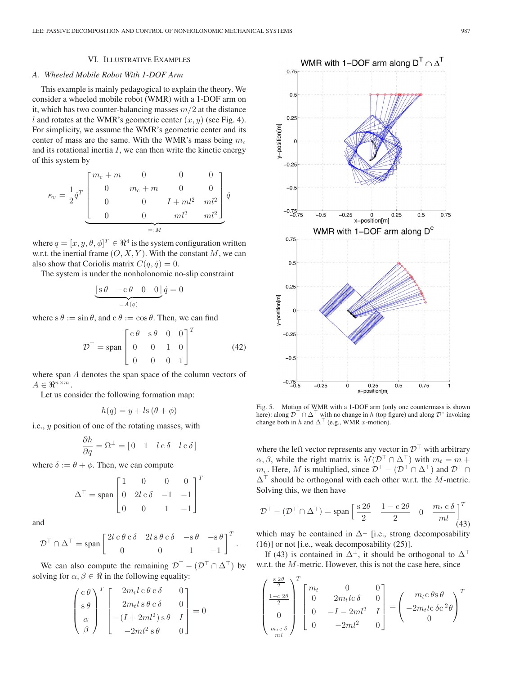## VI. ILLUSTRATIVE EXAMPLES

#### *A. Wheeled Mobile Robot With 1-DOF Arm*

This example is mainly pedagogical to explain the theory. We consider a wheeled mobile robot (WMR) with a 1-DOF arm on it, which has two counter-balancing masses  $m/2$  at the distance l and rotates at the WMR's geometric center  $(x, y)$  (see Fig. 4). For simplicity, we assume the WMR's geometric center and its center of mass are the same. With the WMR's mass being  $m_c$ and its rotational inertia  $I$ , we can then write the kinetic energy of this system by

$$
\kappa_v = \frac{1}{2} \dot{q}^T \begin{bmatrix} m_c + m & 0 & 0 & 0 \\ 0 & m_c + m & 0 & 0 \\ 0 & 0 & I + ml^2 & ml^2 \\ 0 & 0 & ml^2 & ml^2 \end{bmatrix} \dot{q}
$$

$$
= M
$$

where  $q = [x, y, \theta, \phi]^T \in \Re^4$  is the system configuration written w.r.t. the inertial frame  $(0, X, Y)$ . With the constant M, we can also show that Coriolis matrix  $C(q, \dot{q})=0$ .

The system is under the nonholonomic no-slip constraint

$$
\underbrace{[s \theta \quad -c \theta \quad 0 \quad 0]}_{=A(q)} \dot{q} = 0
$$

where  $s \theta := \sin \theta$ , and  $c \theta := \cos \theta$ . Then, we can find

$$
\mathcal{D}^{\top} = \text{span}\begin{bmatrix} c\theta & s\theta & 0 & 0 \\ 0 & 0 & 1 & 0 \\ 0 & 0 & 0 & 1 \end{bmatrix}^{T}
$$
(42)

where span A denotes the span space of the column vectors of  $A \in \mathbb{R}^{n \times m}$ .

Let us consider the following formation map:

$$
h(q) = y + ls (\theta + \phi)
$$

i.e., y position of one of the rotating masses, with

$$
\frac{\partial h}{\partial q} = \Omega^{\perp} = \begin{bmatrix} 0 & 1 & l \, c \, \delta & l \, c \, \delta \end{bmatrix}
$$

where  $\delta := \theta + \phi$ . Then, we can compute

$$
\Delta^{\top} = \text{span}\begin{bmatrix} 1 & 0 & 0 & 0 \\ 0 & 2l \, c \, \delta & -1 & -1 \\ 0 & 0 & 1 & -1 \end{bmatrix}^{T}
$$

and

$$
\mathcal{D}^{\top} \cap \Delta^{\top} = \text{span} \begin{bmatrix} 2l \, \mathbf{c} \, \theta \, \mathbf{c} \, \delta & 2l \, \mathbf{s} \, \theta \, \mathbf{c} \, \delta & -\mathbf{s} \, \theta & -\mathbf{s} \, \theta \\ 0 & 0 & 1 & -1 \end{bmatrix}^T.
$$

We can also compute the remaining  $\mathcal{D}^{\top} - (\mathcal{D}^{\top} \cap \Delta^{\top})$  by solving for  $\alpha, \beta \in \Re$  in the following equality:

$$
\begin{pmatrix}\nc\theta \\
s\theta \\
\alpha \\
\beta\n\end{pmatrix}^T\n\begin{bmatrix}\n2m_t l \, c \, \theta \, c \, \delta & 0 \\
2m_t l \, s \, \theta \, c \, \delta & 0 \\
-(I + 2ml^2) \, s \, \theta & I \\
-2ml^2 \, s \, \theta & 0\n\end{bmatrix} = 0
$$



Fig. 5. Motion of WMR with a 1-DOF arm (only one countermass is shown here): along  $\mathcal{D}^{\perp} \cap \Delta^{\perp}$  with no change in h (top figure) and along  $\mathcal{D}^c$  invoking change both in h and  $\Delta^{\dagger}$  (e.g., WMR x-motion).

where the left vector represents any vector in  $\mathcal{D}^{\top}$  with arbitrary  $\alpha, \beta$ , while the right matrix is  $M(\mathcal{D}^{\top} \cap \Delta^{\top})$  with  $m_t = m + \beta$  $m_c$ . Here, M is multiplied, since  $\mathcal{D}^{\top} - (\mathcal{D}^{\top} \cap \Delta^{\top})$  and  $\mathcal{D}^{\top} \cap \Delta^{\top}$  $\Delta^{\top}$  should be orthogonal with each other w.r.t. the M-metric. Solving this, we then have

$$
\mathcal{D}^{\top} - (\mathcal{D}^{\top} \cap \Delta^{\top}) = \text{span}\left[\frac{s \, 2\theta}{2} \quad \frac{1 - \text{c} \, 2\theta}{2} \quad 0 \quad \frac{m_t \, \text{c} \, \delta}{ml}\right]^{T}
$$
(43)

which may be contained in  $\Delta^{\perp}$  [i.e., strong decomposability (16)] or not [i.e., weak decomposability (25)].

If (43) is contained in  $\Delta^{\perp}$ , it should be orthogonal to  $\Delta^{\perp}$ w.r.t. the M-metric. However, this is not the case here, since

$$
\begin{pmatrix}\n\frac{s2\theta}{2} \\
\frac{1-c}{2}\theta \\
0 \\
\frac{m_t c \delta}{m l}\n\end{pmatrix}^T\n\begin{bmatrix}\nm_t & 0 & 0 \\
0 & 2m_t lc \delta & 0 \\
0 & -I - 2ml^2 & I \\
0 & -2ml^2 & 0\n\end{bmatrix} = \begin{pmatrix}\nm_t c \theta s \theta \\
-2m_t lc \delta c^2 \theta \\
0\n\end{pmatrix}^T
$$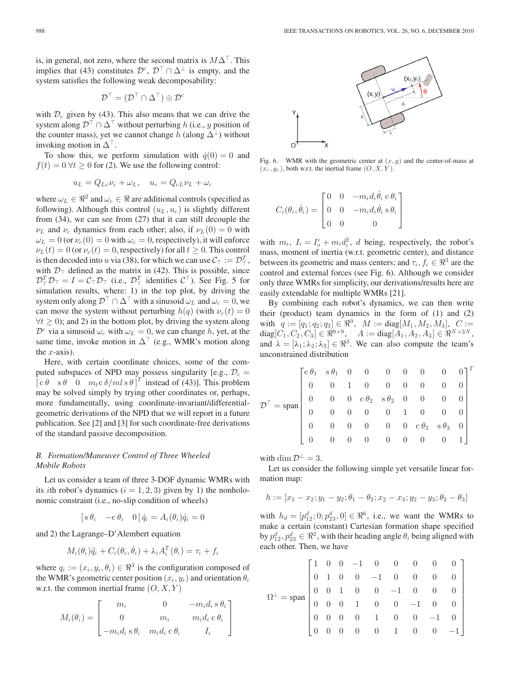is, in general, not zero, where the second matrix is  $M\Delta^{\top}$ . This implies that (43) constitutes  $\mathcal{D}^c$ ,  $\mathcal{D}^{\top} \cap \Delta^{\perp}$  is empty, and the system satisfies the following weak decomposability:

$$
\mathcal{D}^{\top} = (\mathcal{D}^{\top} \cap \Delta^{\top}) \oplus \mathcal{D}^{c}
$$

with  $\mathcal{D}_c$  given by (43). This also means that we can drive the system along  $\mathcal{D}^{\top} \cap \Delta^{\top}$  without perturbing h (i.e., y position of the counter mass), yet we cannot change h (along  $\Delta^{\perp}$ ) without invoking motion in  $\Delta^{\top}$ .

To show this, we perform simulation with  $\dot{q}(0) = 0$  and  $f(t)=0 \forall t \geq 0$  for (2). We use the following control:

$$
u_L = Q_{Lc}\nu_c + \omega_L, \quad u_c = Q_{cL}\nu_L + \omega_c
$$

where  $\omega_L \in \mathbb{R}^2$  and  $\omega_c \in \mathbb{R}$  are additional controls (specified as following). Although this control  $(u<sub>L</sub>, u<sub>c</sub>)$  is slightly different from (34), we can see from (27) that it can still decouple the  $\nu_L$  and  $\nu_c$  dynamics from each other; also, if  $\nu_L(0) = 0$  with  $\omega_L = 0$  (or  $\nu_c(0) = 0$  with  $\omega_c = 0$ , respectively), it will enforce  $\nu_L (t) = 0$  (or  $\nu_c (t) = 0$ , respectively) for all  $t \ge 0$ . This control is then decoded into u via (38), for which we can use  $C_\top := \mathcal{D}_\top^T$ , with  $\mathcal{D}_{\top}$  defined as the matrix in (42). This is possible, since  $\mathcal{D}^T_\top \mathcal{D}_\top = I = \mathcal{C}_\top \mathcal{D}_\top$  (i.e.,  $\mathcal{D}^T_\top$  identifies  $\mathcal{C}^\top$ ). See Fig. 5 for simulation results, where: 1) in the top plot, by driving the system only along  $\mathcal{D}^{\top} \cap \Delta^{\top}$  with a sinusoid  $\omega_L$  and  $\omega_c = 0$ , we can move the system without perturbing  $h(q)$  (with  $v_c(t)=0$  $\forall t \geq 0$ ; and 2) in the bottom plot, by driving the system along  $\mathcal{D}^c$  via a sinusoid  $\omega_c$  with  $\omega_L = 0$ , we can change h, yet, at the same time, invoke motion in  $\Delta^{\top}$  (e.g., WMR's motion along the  $x$ -axis).

Here, with certain coordinate choices, some of the computed subspaces of NPD may possess singularity [e.g.,  $\mathcal{D}_c$  =  $\begin{bmatrix} c & \theta & s & \theta & 0 & m_t c \delta / m l & s & \theta \end{bmatrix}^T$  instead of (43)]. This problem may be solved simply by trying other coordinates or, perhaps, more fundamentally, using coordinate-invariant/differentialgeometric derivations of the NPD that we will report in a future publication. See [2] and [3] for such coordinate-free derivations of the standard passive decomposition.

## *B. Formation/Maneuver Control of Three Wheeled Mobile Robots*

Let us consider a team of three 3-DOF dynamic WMRs with its *i*th robot's dynamics  $(i = 1, 2, 3)$  given by 1) the nonholonomic constraint (i.e., no-slip condition of wheels)

$$
\begin{bmatrix} s\,\theta_i & -c\,\theta_i & 0 \end{bmatrix} \dot{q}_i = A_i(\theta_i)\dot{q}_i = 0
$$

and 2) the Lagrange–D'Alembert equation

$$
M_i(\theta_i)\ddot{q}_i + C_i(\theta_i, \dot{\theta}_i) + \lambda_i A_i^T(\theta_i) = \tau_i + f_i
$$

where  $q_i := (x_i, y_i, \theta_i) \in \mathbb{R}^3$  is the configuration composed of the WMR's geometric center position  $(x_i, y_i)$  and orientation  $\theta_i$ w.r.t. the common inertial frame  $(O, X, Y)$ 

$$
M_i(\theta_i) = \begin{bmatrix} m_i & 0 & -m_i d_i s \theta_i \\ 0 & m_i & m_i d_i c \theta_i \\ -m_i d_i s \theta_i & m_i d_i c \theta_i & I_i \end{bmatrix}
$$



Fig. 6. WMR with the geometric center at  $(x, y)$  and the center-of-mass at  $(x_c, y_c)$ , both w.r.t. the inertial frame  $(0, X, Y)$ .

$$
C_i(\theta_i, \dot{\theta}_i) = \begin{bmatrix} 0 & 0 & -m_i d_i \dot{\theta}_i \, c \, \theta_i \\ 0 & 0 & -m_i d_i \dot{\theta}_i \, s \, \theta_i \\ 0 & 0 & 0 \end{bmatrix}
$$

with  $m_i$ ,  $I_i = I_o^i + m_i d_i^2$ , d being, respectively, the robot's mass, moment of inertia (w.r.t. geometric center), and distance between its geometric and mass centers; and  $\tau_i, f_i \in \mathbb{R}^3$  are the control and external forces (see Fig. 6). Although we consider only three WMRs for simplicity, our derivations/results here are easily extendable for multiple WMRs [21].

By combining each robot's dynamics, we can then write their (product) team dynamics in the form of (1) and (2) with  $q := [q_1; q_2; q_3] \in \mathbb{R}^9$ ,  $M := \text{diag}[M_1, M_2, M_3]$ ,  $C :=$  $diag[C_1, C_2, C_3] \in \mathbb{R}^{9 \times 9}$ ,  $A := diag[A_1, A_2, A_3] \in \mathbb{R}^{N \times 3N}$ , and  $\lambda = [\lambda_1; \lambda_2; \lambda_3] \in \mathbb{R}^3$ . We can also compute the team's unconstrained distribution

$$
\mathcal{D}^{\top} = \text{span}\begin{bmatrix} c\,\theta_1 & s\,\theta_1 & 0 & 0 & 0 & 0 & 0 & 0 & 0 \\ 0 & 0 & 1 & 0 & 0 & 0 & 0 & 0 & 0 \\ 0 & 0 & 0 & c\,\theta_2 & s\,\theta_2 & 0 & 0 & 0 & 0 \\ 0 & 0 & 0 & 0 & 0 & 1 & 0 & 0 & 0 \\ 0 & 0 & 0 & 0 & 0 & 0 & c\,\theta_3 & s\,\theta_3 & 0 \\ 0 & 0 & 0 & 0 & 0 & 0 & 0 & 1 \end{bmatrix}^T
$$

with dim  $\mathcal{D}^{\perp} = 3$ .

Let us consider the following simple yet versatile linear formation map:

$$
h := [x_1 - x_2; y_1 - y_2; \theta_1 - \theta_2; x_2 - x_3; y_2 - y_3; \theta_2 - \theta_3]
$$

with  $h_d = [p_{12}^d; 0; p_{23}^d, 0] \in \Re^6$ , i.e., we want the WMRs to make a certain (constant) Cartesian formation shape specified by  $p_{12}^d, p_{23}^d \in \Re^2$ , with their heading angle  $\theta_i$  being aligned with each other. Then, we have

$$
\Omega^{\perp} = \text{span}\begin{bmatrix} 1 & 0 & 0 & -1 & 0 & 0 & 0 & 0 & 0 \\ 0 & 1 & 0 & 0 & -1 & 0 & 0 & 0 & 0 \\ 0 & 0 & 1 & 0 & 0 & -1 & 0 & 0 & 0 \\ 0 & 0 & 0 & 1 & 0 & 0 & -1 & 0 & 0 \\ 0 & 0 & 0 & 0 & 1 & 0 & 0 & -1 & 0 \\ 0 & 0 & 0 & 0 & 0 & 1 & 0 & 0 & -1 \end{bmatrix}
$$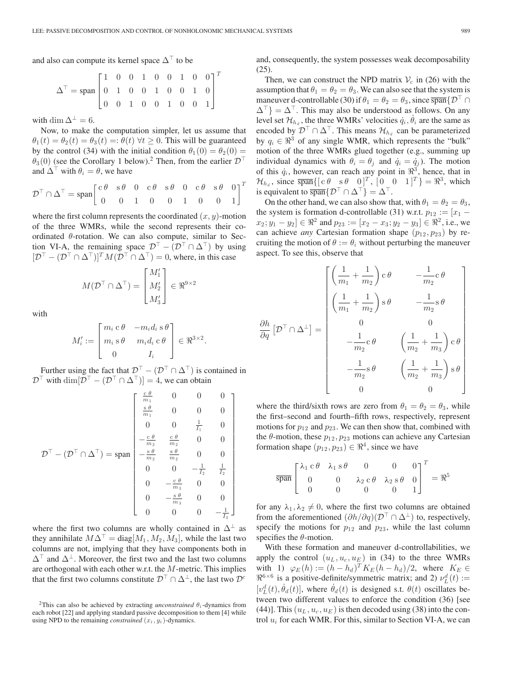T

and also can compute its kernel space  $\Delta^{\top}$  to be

$$
\Delta^\top = \text{span}\begin{bmatrix} 1 & 0 & 0 & 1 & 0 & 0 & 1 & 0 & 0 \\ 0 & 1 & 0 & 0 & 1 & 0 & 0 & 1 & 0 \\ 0 & 0 & 1 & 0 & 0 & 1 & 0 & 0 & 1 \end{bmatrix}
$$

with dim  $\Delta^{\perp} = 6$ .

Now, to make the computation simpler, let us assume that  $\theta_1(t) = \theta_2(t) = \theta_3(t) =: \theta(t) \,\forall t \geq 0$ . This will be guaranteed by the control (34) with the initial condition  $\theta_1(0) = \theta_2(0)$  =  $\theta_3(0)$  (see the Corollary 1 below).<sup>2</sup> Then, from the earlier  $\mathcal{D}^{\top}$ and  $\Delta^{\top}$  with  $\theta_i = \theta$ , we have

$$
\mathcal{D}^{\top} \cap \Delta^{\top} = \text{span} \begin{bmatrix} c\theta & s\theta & 0 & c\theta & s\theta & 0 & c\theta & s\theta & 0 \\ 0 & 0 & 1 & 0 & 0 & 1 & 0 & 0 & 1 \end{bmatrix}^{T}
$$

where the first column represents the coordinated  $(x, y)$ -motion of the three WMRs, while the second represents their coordinated  $\theta$ -rotation. We can also compute, similar to Section VI-A, the remaining space  $\mathcal{D}^{\top} - (\mathcal{D}^{\top} \cap \Delta^{\top})$  by using  $[\mathcal{D}^\top - (\mathcal{D}^\top \cap \Delta^\top)]^T M (\mathcal{D}^\top \cap \Delta^\top) = 0$ , where, in this case

$$
M(\mathcal{D}^{\top} \cap \Delta^{\top}) = \begin{bmatrix} M_1' \\ M_2' \\ M_3' \end{bmatrix} \in \Re^{9 \times 2}
$$

with

$$
M'_{i} := \begin{bmatrix} m_{i} \mathbf{c} \theta & -m_{i} d_{i} \mathbf{s} \theta \\ m_{i} \mathbf{s} \theta & m_{i} d_{i} \mathbf{c} \theta \\ 0 & I_{i} \end{bmatrix} \in \mathfrak{R}^{3 \times 2}.
$$

Further using the fact that  $\mathcal{D}^{\top} - (\mathcal{D}^{\top} \cap \Delta^{\top})$  is contained in  $\mathcal{D}^{\top}$  with  $\dim[\mathcal{D}^{\top} - (\mathcal{D}^{\top} \cap \Delta^{\top})] = 4$ , we can obtain

$$
\mathcal{D}^{\top} - (\mathcal{D}^{\top} \cap \Delta^{\top}) = \text{span} \begin{bmatrix} \frac{c \theta}{m_1} & 0 & 0 & 0 \\ \frac{s \theta}{m_1} & 0 & 0 & 0 \\ 0 & 0 & \frac{1}{I_1} & 0 \\ -\frac{c \theta}{m_2} & \frac{c \theta}{m_2} & 0 & 0 \\ -\frac{s \theta}{m_2} & \frac{s \theta}{m_2} & 0 & 0 \\ 0 & 0 & -\frac{1}{I_2} & \frac{1}{I_2} \\ 0 & -\frac{c \theta}{m_3} & 0 & 0 \\ 0 & 0 & 0 & -\frac{1}{I_3} \end{bmatrix}
$$

where the first two columns are wholly contained in  $\Delta^{\perp}$  as they annihilate  $M\Delta^{T} = \text{diag}[M_1, M_2, M_3]$ , while the last two columns are not, implying that they have components both in  $\Delta^{\top}$  and  $\Delta^{\perp}$ . Moreover, the first two and the last two columns are orthogonal with each other w.r.t. the M-metric. This implies that the first two columns constitute  $\mathcal{D}^{\top} \cap \Delta^{\perp}$ , the last two  $\mathcal{D}^c$ 

and, consequently, the system possesses weak decomposability (25).

Then, we can construct the NPD matrix  $V_c$  in (26) with the assumption that  $\theta_1 = \theta_2 = \theta_3$ . We can also see that the system is maneuver d-controllable (30) if  $\theta_1 = \theta_2 = \theta_3$ , since  $\overline{\text{span}}\{\mathcal{D}^{\top}\cap\mathcal{D}^{\top}\}$  $\Delta^{\dagger}$  =  $\Delta^{\dagger}$ . This may also be understood as follows. On any level set  $\mathcal{H}_{h_d}$ , the three WMRs' velocities  $\dot{q}_i$ ,  $\dot{\theta}_i$  are the same as encoded by  $\mathcal{D}^{\top} \cap \Delta^{\top}$ . This means  $\mathcal{H}_{h_d}$  can be parameterized by  $q_i \in \mathbb{R}^3$  of any single WMR, which represents the "bulk" motion of the three WMRs glued together (e.g., summing up individual dynamics with  $\theta_i = \theta_j$  and  $\dot{q}_i = \dot{q}_j$ ). The motion of this  $\dot{q}_i$ , however, can reach any point in  $\mathbb{R}^3$ , hence, that in  $\mathcal{H}_{h_d}$ , since  $\overline{\text{span}}\{[\begin{bmatrix} c & \theta & s & \theta & 0 \end{bmatrix}^T, \begin{bmatrix} 0 & 0 & 1 \end{bmatrix}^T \} = \mathbb{R}^3$ , which is equivalent to  $\overline{\text{span}}\{\mathcal{D}^{\top} \cap \Delta^{\top}\} = \Delta^{\top}.$ 

On the other hand, we can also show that, with  $\theta_1 = \theta_2 = \theta_3$ , the system is formation d-controllable (31) w.r.t.  $p_{12} := [x_1 [x_2; y_1 - y_2] \in \Re^2$  and  $p_{23} := [x_2 - x_3; y_2 - y_3] \in \Re^2$ , i.e., we can achieve *any* Cartesian formation shape  $(p_{12}, p_{23})$  by recruiting the motion of  $\theta := \theta_i$  without perturbing the maneuver aspect. To see this, observe that

$$
\frac{\partial h}{\partial q} \left[ \mathcal{D}^{\top} \cap \Delta^{\perp} \right] = \begin{bmatrix} \left( \frac{1}{m_1} + \frac{1}{m_2} \right) c \theta & -\frac{1}{m_2} c \theta \\ \left( \frac{1}{m_1} + \frac{1}{m_2} \right) s \theta & -\frac{1}{m_2} s \theta \\ 0 & 0 \\ -\frac{1}{m_2} c \theta & \left( \frac{1}{m_2} + \frac{1}{m_3} \right) c \theta \\ -\frac{1}{m_2} s \theta & \left( \frac{1}{m_2} + \frac{1}{m_3} \right) s \theta \\ 0 & 0 \end{bmatrix}
$$

where the third/sixth rows are zero from  $\theta_1 = \theta_2 = \theta_3$ , while the first–second and fourth–fifth rows, respectively, represent motions for  $p_{12}$  and  $p_{23}$ . We can then show that, combined with the  $\theta$ -motion, these  $p_{12}, p_{23}$  motions can achieve any Cartesian formation shape  $(p_{12}, p_{23}) \in \mathbb{R}^4$ , since we have

$$
\overline{\text{span}} \begin{bmatrix} \lambda_1 & c & \theta & \lambda_1 & s & \theta & 0 & 0 & 0 \\ 0 & 0 & \lambda_2 & c & \theta & \lambda_2 & s & \theta & 0 \\ 0 & 0 & 0 & 0 & 0 & 1 \end{bmatrix}^T = \Re^5
$$

for any  $\lambda_1, \lambda_2 \neq 0$ , where the first two columns are obtained from the aforementioned  $(\partial h/\partial q)(\mathcal{D}^{\top} \cap \Delta^{\perp})$  to, respectively, specify the motions for  $p_{12}$  and  $p_{23}$ , while the last column specifies the  $\theta$ -motion.

With these formation and maneuver d-controllabilities, we apply the control  $(u_L, u_c, u_E)$  in (34) to the three WMRs with 1)  $\varphi_E(h) := (h - h_d)^T K_E(h - h_d)/2$ , where  $K_E \in$  $\mathbb{R}^{6 \times 6}$  is a positive-definite/symmetric matrix; and 2)  $\nu_L^d(t) :=$  $[v_L^d(t), \dot{\theta}_d(t)]$ , where  $\dot{\theta}_d(t)$  is designed s.t.  $\theta(t)$  oscillates between two different values to enforce the condition (36) [see (44)]. This  $(u_L, u_c, u_E)$  is then decoded using (38) into the control  $u_i$  for each WMR. For this, similar to Section VI-A, we can

<sup>&</sup>lt;sup>2</sup>This can also be achieved by extracting *unconstrained*  $\theta_i$ -dynamics from each robot [22] and applying standard passive decomposition to them [4] while using NPD to the remaining *constrained*  $(x_i, y_i)$ -dynamics.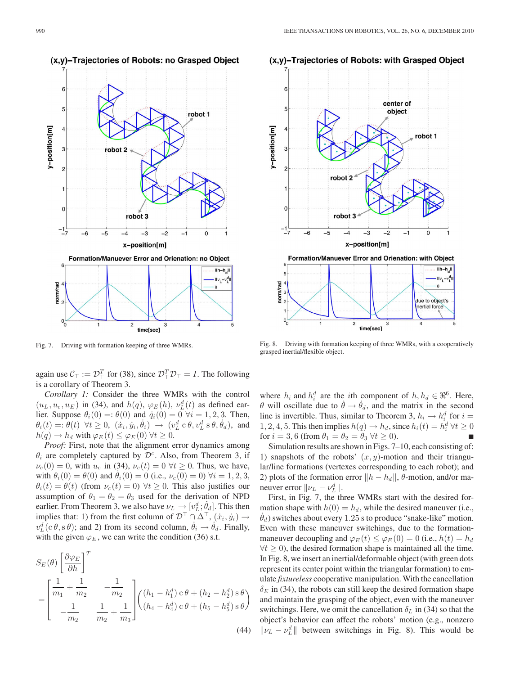

Fig. 7. Driving with formation keeping of three WMRs.

again use  $C_{\top} := \mathcal{D}_{\top}^T$  for (38), since  $\mathcal{D}_{\top}^T \mathcal{D}_{\top} = I$ . The following is a corollary of Theorem 3.

*Corollary 1:* Consider the three WMRs with the control  $(u_L, u_c, u_E)$  in (34), and  $h(q)$ ,  $\varphi_E(h)$ ,  $\nu_L^d(t)$  as defined earlier. Suppose  $\theta_i(0) = \theta(0)$  and  $\dot{q}_i(0) = 0 \ \forall i = 1, 2, 3$ . Then,  $\theta_i(t) = \theta(t) \ \ \forall t \geq 0, \ \ (\dot{x}_i, \dot{y}_i, \dot{\theta}_i) \ \rightarrow \ (v_L^d \ c \ \theta, v_L^d \ s \ \theta, \dot{\theta}_d),$  and  $h(q) \to h_d$  with  $\varphi_E(t) \leq \varphi_E(0) \ \forall t \geq 0.$ 

*Proof:* First, note that the alignment error dynamics among  $\theta_i$  are completely captured by  $\mathcal{D}^c$ . Also, from Theorem 3, if  $\nu_c(0) = 0$ , with  $u_c$  in (34),  $\nu_c(t) = 0 \ \forall t \geq 0$ . Thus, we have, with  $\theta_i(0) = \theta(0)$  and  $\dot{\theta}_i(0) = 0$  (i.e.,  $\nu_c(0) = 0$ )  $\forall i = 1, 2, 3$ ,  $\theta_i(t) = \theta(t)$  (from  $\nu_c(t) = 0$ )  $\forall t \geq 0$ . This also justifies our assumption of  $\theta_1 = \theta_2 = \theta_3$  used for the derivation of NPD earlier. From Theorem 3, we also have  $\nu_L \to [v_L^d; \dot{\theta}_d]$ . This then implies that: 1) from the first column of  $\mathcal{D}^{\top} \cap \Delta^{\top}$ ,  $(x_i, y_i) \rightarrow$  $v_L^d(c \theta, s \theta)$ ; and 2) from its second column,  $\dot{\theta}_i \rightarrow \dot{\theta}_d$ . Finally, with the given  $\varphi_E$ , we can write the condition (36) s.t.

$$
S_E(\theta) \left[ \frac{\partial \varphi_E}{\partial h} \right]^T
$$
  
= 
$$
\begin{bmatrix} \frac{1}{m_1} + \frac{1}{m_2} & -\frac{1}{m_2} \\ -\frac{1}{m_2} & \frac{1}{m_2} + \frac{1}{m_3} \end{bmatrix} \begin{pmatrix} (h_1 - h_1^d) c \theta + (h_2 - h_2^d) s \theta \\ (h_4 - h_4^d) c \theta + (h_5 - h_5^d) s \theta \end{pmatrix}
$$
(44)





Fig. 8. Driving with formation keeping of three WMRs, with a cooperatively grasped inertial/flexible object.

where  $h_i$  and  $h_i^d$  are the *i*th component of  $h, h_d \in \mathbb{R}^6$ . Here,  $\theta$  will oscillate due to  $\dot{\theta} \rightarrow \dot{\theta}_d$ , and the matrix in the second line is invertible. Thus, similar to Theorem 3,  $h_i \rightarrow h_i^d$  for  $i =$ 1, 2, 4, 5. This then implies  $h(q) \to h_d$ , since  $h_i(t) = h_i^d \forall t \ge 0$ for  $i = 3, 6$  (from  $\theta_1 = \theta_2 = \theta_3 \ \forall t \geq 0$ ).

Simulation results are shown in Figs. 7–10, each consisting of: 1) snapshots of the robots'  $(x, y)$ -motion and their triangular/line formations (vertexes corresponding to each robot); and 2) plots of the formation error  $||h - h_d||$ ,  $\theta$ -motion, and/or maneuver error  $\|\nu_L - \nu_L^d\|$ .

First, in Fig. 7, the three WMRs start with the desired formation shape with  $h(0) = h_d$ , while the desired maneuver (i.e.,  $\theta_d$ ) switches about every 1.25 s to produce "snake-like" motion. Even with these maneuver switchings, due to the formationmaneuver decoupling and  $\varphi_E(t) \leq \varphi_E(0) = 0$  (i.e.,  $h(t) = h_d$ )  $\forall t \geq 0$ , the desired formation shape is maintained all the time. In Fig. 8, we insert an inertial/deformable object (with green dots represent its center point within the triangular formation) to emulate *fixtureless* cooperative manipulation. With the cancellation  $\delta_E$  in (34), the robots can still keep the desired formation shape and maintain the grasping of the object, even with the maneuver switchings. Here, we omit the cancellation  $\delta_L$  in (34) so that the object's behavior can affect the robots' motion (e.g., nonzero  $\|\nu_L - \nu_L^d\|$  between switchings in Fig. 8). This would be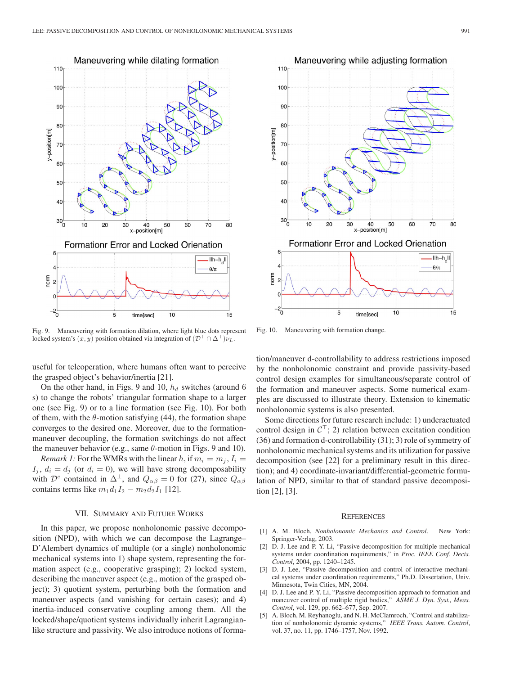

Fig. 9. Maneuvering with formation dilation, where light blue dots represent locked system's  $(x, y)$  position obtained via integration of  $(\mathcal{D}^{\perp} \cap \Delta^{\perp})\nu_L$ .

useful for teleoperation, where humans often want to perceive the grasped object's behavior/inertia [21].

On the other hand, in Figs. 9 and 10,  $h_d$  switches (around 6) s) to change the robots' triangular formation shape to a larger one (see Fig. 9) or to a line formation (see Fig. 10). For both of them, with the  $\theta$ -motion satisfying (44), the formation shape converges to the desired one. Moreover, due to the formationmaneuver decoupling, the formation switchings do not affect the maneuver behavior (e.g., same  $\theta$ -motion in Figs. 9 and 10).

*Remark 1:* For the WMRs with the linear h, if  $m_i = m_j$ ,  $I_i =$  $I_i$ ,  $d_i = d_j$  (or  $d_i = 0$ ), we will have strong decomposability with  $\mathcal{D}^c$  contained in  $\Delta^{\perp}$ , and  $Q_{\alpha\beta} = 0$  for (27), since  $Q_{\alpha\beta}$ contains terms like  $m_1d_1I_2 - m_2d_2I_1$  [12].

#### VII. SUMMARY AND FUTURE WORKS

In this paper, we propose nonholonomic passive decomposition (NPD), with which we can decompose the Lagrange– D'Alembert dynamics of multiple (or a single) nonholonomic mechanical systems into 1) shape system, representing the formation aspect (e.g., cooperative grasping); 2) locked system, describing the maneuver aspect (e.g., motion of the grasped object); 3) quotient system, perturbing both the formation and maneuver aspects (and vanishing for certain cases); and 4) inertia-induced conservative coupling among them. All the locked/shape/quotient systems individually inherit Lagrangianlike structure and passivity. We also introduce notions of forma-



Fig. 10. Maneuvering with formation change.

tion/maneuver d-controllability to address restrictions imposed by the nonholonomic constraint and provide passivity-based control design examples for simultaneous/separate control of the formation and maneuver aspects. Some numerical examples are discussed to illustrate theory. Extension to kinematic nonholonomic systems is also presented.

Some directions for future research include: 1) underactuated control design in  $C^{\top}$ ; 2) relation between excitation condition (36) and formation d-controllability (31); 3) role of symmetry of nonholonomic mechanical systems and its utilization for passive decomposition (see [22] for a preliminary result in this direction); and 4) coordinate-invariant/differential-geometric formulation of NPD, similar to that of standard passive decomposition [2], [3].

#### **REFERENCES**

- [1] A. M. Bloch, *Nonholonomic Mechanics and Control*. New York: Springer-Verlag, 2003.
- [2] D. J. Lee and P. Y. Li, "Passive decomposition for multiple mechanical systems under coordination requirements," in *Proc. IEEE Conf. Decis. Control*, 2004, pp. 1240–1245.
- [3] D. J. Lee, "Passive decomposition and control of interactive mechanical systems under coordination requirements," Ph.D. Dissertation, Univ. Minnesota, Twin Cities, MN, 2004.
- [4] D. J. Lee and P. Y. Li, "Passive decomposition approach to formation and maneuver control of multiple rigid bodies," *ASME J. Dyn. Syst., Meas. Control*, vol. 129, pp. 662–677, Sep. 2007.
- [5] A. Bloch, M. Reyhanoglu, and N. H. McClamroch, "Control and stabilization of nonholonomic dynamic systems," *IEEE Trans. Autom. Control*, vol. 37, no. 11, pp. 1746–1757, Nov. 1992.